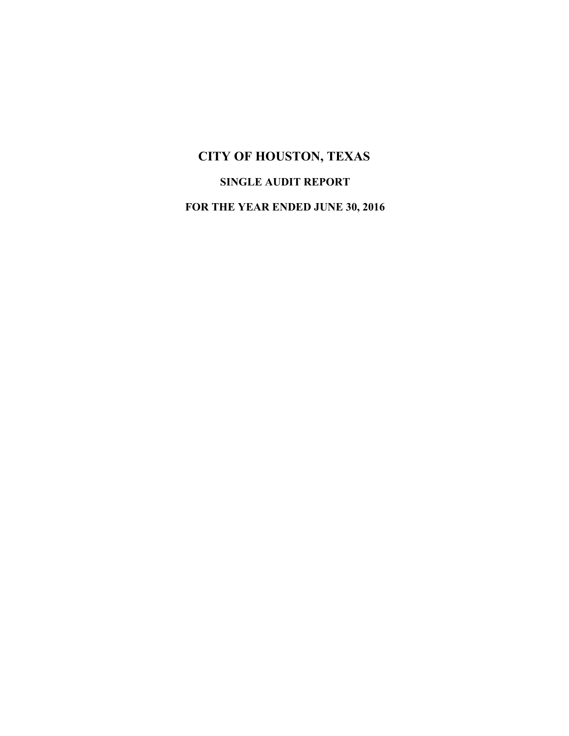# **CITY OF HOUSTON, TEXAS SINGLE AUDIT REPORT**

**FOR THE YEAR ENDED JUNE 30, 2016**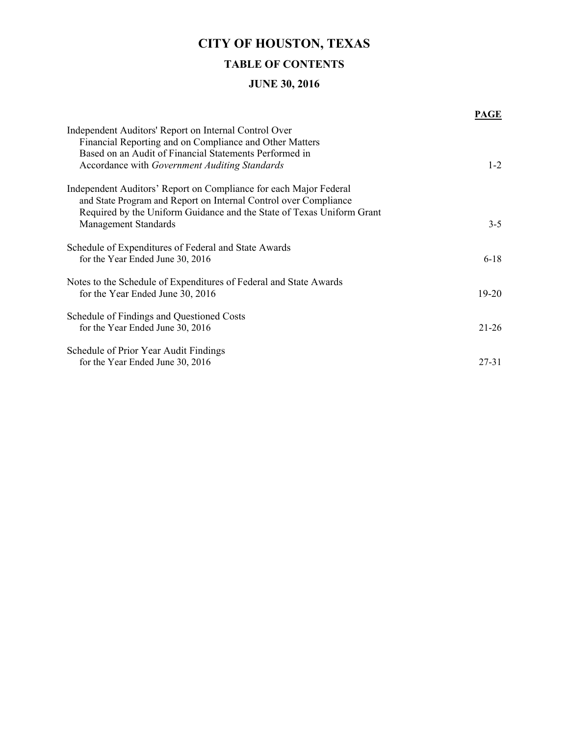## **CITY OF HOUSTON, TEXAS**

### **TABLE OF CONTENTS**

### **JUNE 30, 2016**

|                                                                                                                                                                                                                                               | PAGE      |
|-----------------------------------------------------------------------------------------------------------------------------------------------------------------------------------------------------------------------------------------------|-----------|
| Independent Auditors' Report on Internal Control Over<br>Financial Reporting and on Compliance and Other Matters<br>Based on an Audit of Financial Statements Performed in<br>Accordance with Government Auditing Standards                   | $1 - 2$   |
| Independent Auditors' Report on Compliance for each Major Federal<br>and State Program and Report on Internal Control over Compliance<br>Required by the Uniform Guidance and the State of Texas Uniform Grant<br><b>Management Standards</b> | $3 - 5$   |
| Schedule of Expenditures of Federal and State Awards<br>for the Year Ended June 30, 2016                                                                                                                                                      | $6 - 18$  |
| Notes to the Schedule of Expenditures of Federal and State Awards<br>for the Year Ended June 30, 2016                                                                                                                                         | $19 - 20$ |
| Schedule of Findings and Questioned Costs<br>for the Year Ended June 30, 2016                                                                                                                                                                 | $21 - 26$ |
| Schedule of Prior Year Audit Findings<br>for the Year Ended June 30, 2016                                                                                                                                                                     | $27 - 31$ |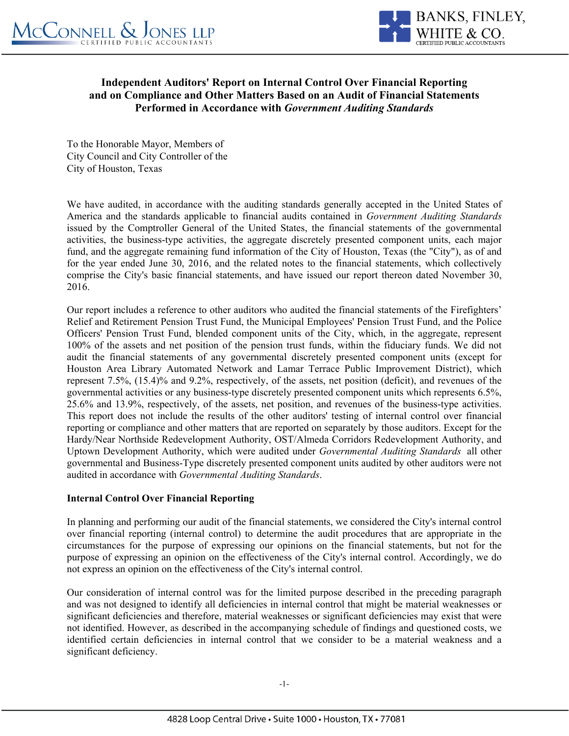

### **Independent Auditors' Report on Internal Control Over Financial Reporting and on Compliance and Other Matters Based on an Audit of Financial Statements Performed in Accordance with** *Government Auditing Standards*

To the Honorable Mayor, Members of City Council and City Controller of the City of Houston, Texas

We have audited, in accordance with the auditing standards generally accepted in the United States of America and the standards applicable to financial audits contained in *Government Auditing Standards* issued by the Comptroller General of the United States, the financial statements of the governmental activities, the business-type activities, the aggregate discretely presented component units, each major fund, and the aggregate remaining fund information of the City of Houston, Texas (the "City"), as of and for the year ended June 30, 2016, and the related notes to the financial statements, which collectively comprise the City's basic financial statements, and have issued our report thereon dated November 30, 2016.

Our report includes a reference to other auditors who audited the financial statements of the Firefighters' Relief and Retirement Pension Trust Fund, the Municipal Employees' Pension Trust Fund, and the Police Officers' Pension Trust Fund, blended component units of the City, which, in the aggregate, represent 100% of the assets and net position of the pension trust funds, within the fiduciary funds. We did not audit the financial statements of any governmental discretely presented component units (except for Houston Area Library Automated Network and Lamar Terrace Public Improvement District), which represent 7.5%, (15.4)% and 9.2%, respectively, of the assets, net position (deficit), and revenues of the governmental activities or any business-type discretely presented component units which represents 6.5%, 25.6% and 13.9%, respectively, of the assets, net position, and revenues of the business-type activities. This report does not include the results of the other auditors' testing of internal control over financial reporting or compliance and other matters that are reported on separately by those auditors. Except for the Hardy/Near Northside Redevelopment Authority, OST/Almeda Corridors Redevelopment Authority, and Uptown Development Authority, which were audited under *Governmental Auditing Standards* all other governmental and Business-Type discretely presented component units audited by other auditors were not audited in accordance with *Governmental Auditing Standards*.

### **Internal Control Over Financial Reporting**

In planning and performing our audit of the financial statements, we considered the City's internal control over financial reporting (internal control) to determine the audit procedures that are appropriate in the circumstances for the purpose of expressing our opinions on the financial statements, but not for the purpose of expressing an opinion on the effectiveness of the City's internal control. Accordingly, we do not express an opinion on the effectiveness of the City's internal control.

Our consideration of internal control was for the limited purpose described in the preceding paragraph and was not designed to identify all deficiencies in internal control that might be material weaknesses or significant deficiencies and therefore, material weaknesses or significant deficiencies may exist that were not identified. However, as described in the accompanying schedule of findings and questioned costs, we identified certain deficiencies in internal control that we consider to be a material weakness and a significant deficiency.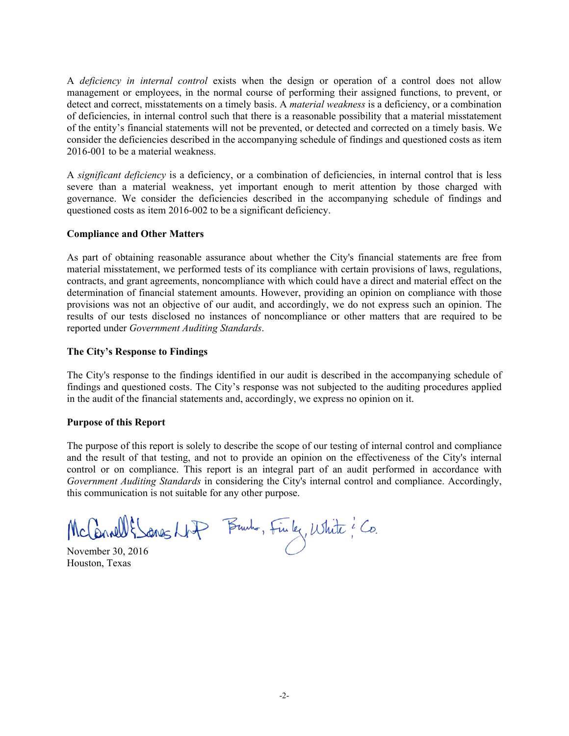A *deficiency in internal control* exists when the design or operation of a control does not allow management or employees, in the normal course of performing their assigned functions, to prevent, or detect and correct, misstatements on a timely basis. A *material weakness* is a deficiency, or a combination of deficiencies, in internal control such that there is a reasonable possibility that a material misstatement of the entity's financial statements will not be prevented, or detected and corrected on a timely basis. We consider the deficiencies described in the accompanying schedule of findings and questioned costs as item 2016-001 to be a material weakness.

A *significant deficiency* is a deficiency, or a combination of deficiencies, in internal control that is less severe than a material weakness, yet important enough to merit attention by those charged with governance. We consider the deficiencies described in the accompanying schedule of findings and questioned costs as item 2016-002 to be a significant deficiency.

#### **Compliance and Other Matters**

As part of obtaining reasonable assurance about whether the City's financial statements are free from material misstatement, we performed tests of its compliance with certain provisions of laws, regulations, contracts, and grant agreements, noncompliance with which could have a direct and material effect on the determination of financial statement amounts. However, providing an opinion on compliance with those provisions was not an objective of our audit, and accordingly, we do not express such an opinion. The results of our tests disclosed no instances of noncompliance or other matters that are required to be reported under *Government Auditing Standards*.

#### **The City's Response to Findings**

The City's response to the findings identified in our audit is described in the accompanying schedule of findings and questioned costs. The City's response was not subjected to the auditing procedures applied in the audit of the financial statements and, accordingly, we express no opinion on it.

#### **Purpose of this Report**

The purpose of this report is solely to describe the scope of our testing of internal control and compliance and the result of that testing, and not to provide an opinion on the effectiveness of the City's internal control or on compliance. This report is an integral part of an audit performed in accordance with *Government Auditing Standards* in considering the City's internal control and compliance. Accordingly, this communication is not suitable for any other purpose.

McConnell & Sones NAP Brush, Finley, White ? Co.<br>November 30, 2016

Houston, Texas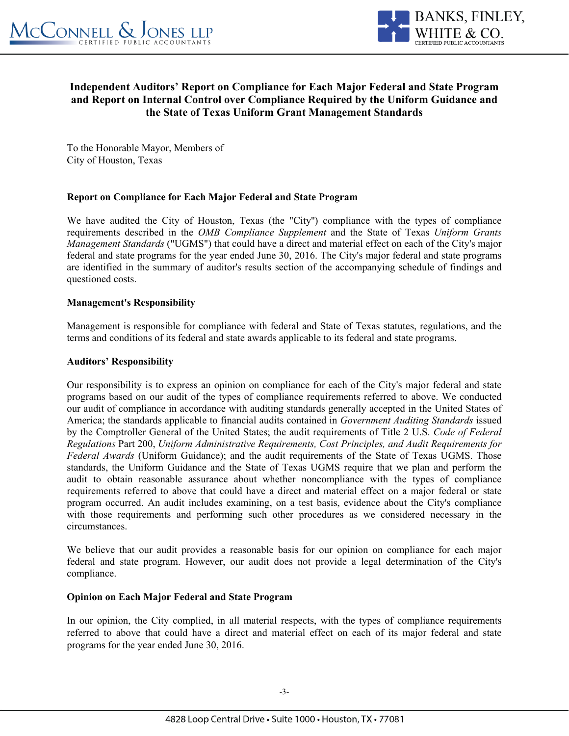

### **Independent Auditors' Report on Compliance for Each Major Federal and State Program and Report on Internal Control over Compliance Required by the Uniform Guidance and the State of Texas Uniform Grant Management Standards**

To the Honorable Mayor, Members of City of Houston, Texas

### **Report on Compliance for Each Major Federal and State Program**

We have audited the City of Houston, Texas (the "City'') compliance with the types of compliance requirements described in the *OMB Compliance Supplement* and the State of Texas *Uniform Grants Management Standards* ("UGMS") that could have a direct and material effect on each of the City's major federal and state programs for the year ended June 30, 2016. The City's major federal and state programs are identified in the summary of auditor's results section of the accompanying schedule of findings and questioned costs.

#### **Management's Responsibility**

Management is responsible for compliance with federal and State of Texas statutes, regulations, and the terms and conditions of its federal and state awards applicable to its federal and state programs.

#### **Auditors' Responsibility**

Our responsibility is to express an opinion on compliance for each of the City's major federal and state programs based on our audit of the types of compliance requirements referred to above. We conducted our audit of compliance in accordance with auditing standards generally accepted in the United States of America; the standards applicable to financial audits contained in *Government Auditing Standards* issued by the Comptroller General of the United States; the audit requirements of Title 2 U.S. *Code of Federal Regulations* Part 200, *Uniform Administrative Requirements, Cost Principles, and Audit Requirements for Federal Awards* (Uniform Guidance); and the audit requirements of the State of Texas UGMS. Those standards, the Uniform Guidance and the State of Texas UGMS require that we plan and perform the audit to obtain reasonable assurance about whether noncompliance with the types of compliance requirements referred to above that could have a direct and material effect on a major federal or state program occurred. An audit includes examining, on a test basis, evidence about the City's compliance with those requirements and performing such other procedures as we considered necessary in the circumstances.

We believe that our audit provides a reasonable basis for our opinion on compliance for each major federal and state program. However, our audit does not provide a legal determination of the City's compliance.

#### **Opinion on Each Major Federal and State Program**

In our opinion, the City complied, in all material respects, with the types of compliance requirements referred to above that could have a direct and material effect on each of its major federal and state programs for the year ended June 30, 2016.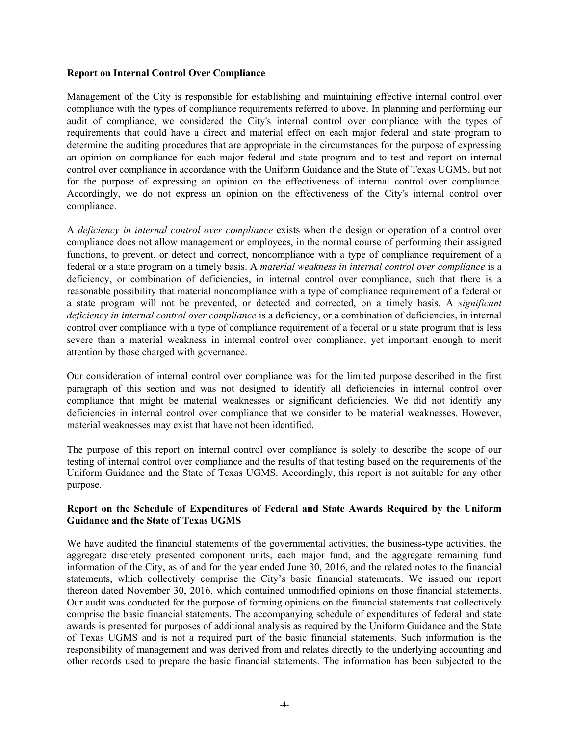#### **Report on Internal Control Over Compliance**

Management of the City is responsible for establishing and maintaining effective internal control over compliance with the types of compliance requirements referred to above. In planning and performing our audit of compliance, we considered the City's internal control over compliance with the types of requirements that could have a direct and material effect on each major federal and state program to determine the auditing procedures that are appropriate in the circumstances for the purpose of expressing an opinion on compliance for each major federal and state program and to test and report on internal control over compliance in accordance with the Uniform Guidance and the State of Texas UGMS, but not for the purpose of expressing an opinion on the effectiveness of internal control over compliance. Accordingly, we do not express an opinion on the effectiveness of the City's internal control over compliance.

A *deficiency in internal control over compliance* exists when the design or operation of a control over compliance does not allow management or employees, in the normal course of performing their assigned functions, to prevent, or detect and correct, noncompliance with a type of compliance requirement of a federal or a state program on a timely basis. A *material weakness in internal control over compliance* is a deficiency, or combination of deficiencies, in internal control over compliance, such that there is a reasonable possibility that material noncompliance with a type of compliance requirement of a federal or a state program will not be prevented, or detected and corrected, on a timely basis. A *significant deficiency in internal control over compliance* is a deficiency, or a combination of deficiencies, in internal control over compliance with a type of compliance requirement of a federal or a state program that is less severe than a material weakness in internal control over compliance, yet important enough to merit attention by those charged with governance.

Our consideration of internal control over compliance was for the limited purpose described in the first paragraph of this section and was not designed to identify all deficiencies in internal control over compliance that might be material weaknesses or significant deficiencies. We did not identify any deficiencies in internal control over compliance that we consider to be material weaknesses. However, material weaknesses may exist that have not been identified.

The purpose of this report on internal control over compliance is solely to describe the scope of our testing of internal control over compliance and the results of that testing based on the requirements of the Uniform Guidance and the State of Texas UGMS. Accordingly, this report is not suitable for any other purpose.

#### **Report on the Schedule of Expenditures of Federal and State Awards Required by the Uniform Guidance and the State of Texas UGMS**

We have audited the financial statements of the governmental activities, the business-type activities, the aggregate discretely presented component units, each major fund, and the aggregate remaining fund information of the City, as of and for the year ended June 30, 2016, and the related notes to the financial statements, which collectively comprise the City's basic financial statements. We issued our report thereon dated November 30, 2016, which contained unmodified opinions on those financial statements. Our audit was conducted for the purpose of forming opinions on the financial statements that collectively comprise the basic financial statements. The accompanying schedule of expenditures of federal and state awards is presented for purposes of additional analysis as required by the Uniform Guidance and the State of Texas UGMS and is not a required part of the basic financial statements. Such information is the responsibility of management and was derived from and relates directly to the underlying accounting and other records used to prepare the basic financial statements. The information has been subjected to the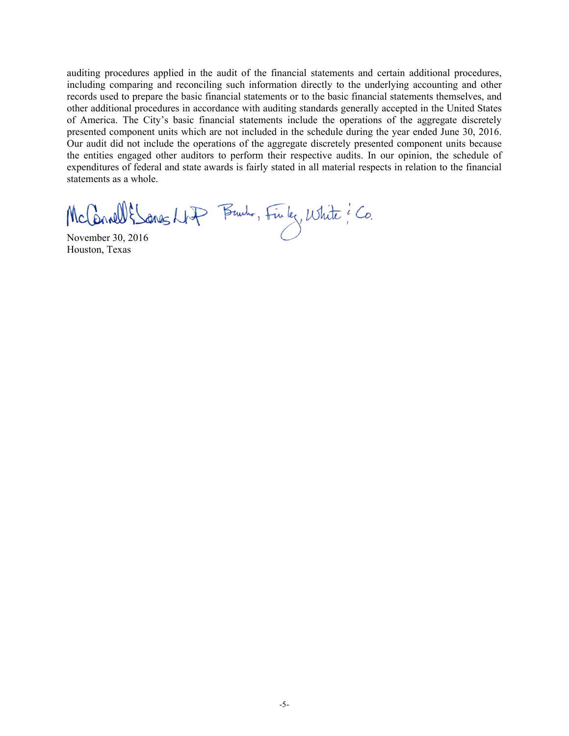auditing procedures applied in the audit of the financial statements and certain additional procedures, including comparing and reconciling such information directly to the underlying accounting and other records used to prepare the basic financial statements or to the basic financial statements themselves, and other additional procedures in accordance with auditing standards generally accepted in the United States of America. The City's basic financial statements include the operations of the aggregate discretely presented component units which are not included in the schedule during the year ended June 30, 2016. Our audit did not include the operations of the aggregate discretely presented component units because the entities engaged other auditors to perform their respective audits. In our opinion, the schedule of expenditures of federal and state awards is fairly stated in all material respects in relation to the financial statements as a whole.

McConnell & Sanes NAP Brunh, Finley, White ? Co.

Houston, Texas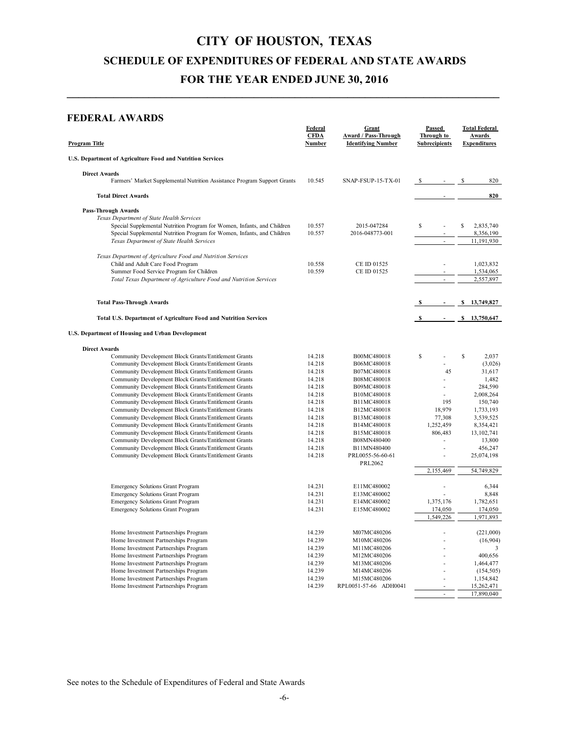## **CITY OF HOUSTON, TEXAS SCHEDULE OF EXPENDITURES OF FEDERAL AND STATE AWARDS FOR THE YEAR ENDED JUNE 30, 2016**

**\_\_\_\_\_\_\_\_\_\_\_\_\_\_\_\_\_\_\_\_\_\_\_\_\_\_\_\_\_\_\_\_\_\_\_\_\_\_\_\_\_\_\_\_\_\_\_\_\_\_\_\_\_\_\_\_\_\_\_\_\_\_\_\_\_\_\_\_\_\_\_\_\_\_**

#### **FEDERAL AWARDS**

| Program Title                                                                                                        | Federal<br><b>CFDA</b><br>Number | Grant<br><b>Award / Pass-Through</b><br><b>Identifying Number</b> | Passed<br>Through to<br><b>Subrecipients</b> | <b>Total Federal</b><br><b>Awards</b><br><b>Expenditures</b> |
|----------------------------------------------------------------------------------------------------------------------|----------------------------------|-------------------------------------------------------------------|----------------------------------------------|--------------------------------------------------------------|
| U.S. Department of Agriculture Food and Nutrition Services                                                           |                                  |                                                                   |                                              |                                                              |
| <b>Direct Awards</b><br>Farmers' Market Supplemental Nutrition Assistance Program Support Grants                     | 10.545                           | SNAP-FSUP-15-TX-01                                                |                                              | 820<br>\$                                                    |
| <b>Total Direct Awards</b>                                                                                           |                                  |                                                                   |                                              | 820                                                          |
| <b>Pass-Through Awards</b>                                                                                           |                                  |                                                                   |                                              |                                                              |
| Texas Department of State Health Services                                                                            |                                  |                                                                   |                                              |                                                              |
| Special Supplemental Nutrition Program for Women, Infants, and Children                                              | 10.557                           | 2015-047284                                                       | S                                            | S<br>2,835,740                                               |
| Special Supplemental Nutrition Program for Women, Infants, and Children<br>Texas Department of State Health Services | 10.557                           | 2016-048773-001                                                   |                                              | 8,356,190<br>11,191,930                                      |
| Texas Department of Agriculture Food and Nutrition Services                                                          |                                  |                                                                   |                                              |                                                              |
| Child and Adult Care Food Program                                                                                    | 10.558                           | CE ID 01525                                                       |                                              | 1,023,832                                                    |
| Summer Food Service Program for Children                                                                             | 10.559                           | CE ID 01525                                                       |                                              | 1,534,065                                                    |
| Total Texas Department of Agriculture Food and Nutrition Services                                                    |                                  |                                                                   | ä,                                           | 2,557,897                                                    |
| <b>Total Pass-Through Awards</b>                                                                                     |                                  |                                                                   |                                              | \$<br>13,749,827                                             |
| Total U.S. Department of Agriculture Food and Nutrition Services                                                     |                                  |                                                                   | <sup>S</sup>                                 | \$13,750,647                                                 |
| <b>U.S. Department of Housing and Urban Development</b>                                                              |                                  |                                                                   |                                              |                                                              |
| <b>Direct Awards</b>                                                                                                 |                                  |                                                                   |                                              |                                                              |
| Community Development Block Grants/Entitlement Grants                                                                | 14.218                           | B00MC480018                                                       | $\mathbb S$                                  | \$<br>2,037                                                  |
| Community Development Block Grants/Entitlement Grants                                                                | 14.218                           | B06MC480018                                                       |                                              | (3,026)                                                      |
| Community Development Block Grants/Entitlement Grants                                                                | 14.218                           | B07MC480018                                                       | 45                                           | 31,617                                                       |
| Community Development Block Grants/Entitlement Grants                                                                | 14.218                           | B08MC480018                                                       |                                              | 1,482                                                        |
| Community Development Block Grants/Entitlement Grants                                                                | 14.218                           | B09MC480018                                                       |                                              | 284,590                                                      |
| Community Development Block Grants/Entitlement Grants                                                                | 14.218<br>14.218                 | B10MC480018<br>B11MC480018                                        | 195                                          | 2,008,264<br>150,740                                         |
| Community Development Block Grants/Entitlement Grants<br>Community Development Block Grants/Entitlement Grants       | 14.218                           | B12MC480018                                                       | 18,979                                       | 1,733,193                                                    |
| Community Development Block Grants/Entitlement Grants                                                                | 14.218                           | B13MC480018                                                       | 77,308                                       | 3,539,525                                                    |
| Community Development Block Grants/Entitlement Grants                                                                | 14.218                           | B14MC480018                                                       | 1,252,459                                    | 8,354,421                                                    |
| Community Development Block Grants/Entitlement Grants                                                                | 14.218                           | B15MC480018                                                       | 806,483                                      | 13, 102, 741                                                 |
| Community Development Block Grants/Entitlement Grants                                                                | 14.218                           | B08MN480400                                                       | $\overline{\phantom{a}}$                     | 13,800                                                       |
| Community Development Block Grants/Entitlement Grants                                                                | 14.218                           | B11MN480400                                                       |                                              | 456,247                                                      |
| Community Development Block Grants/Entitlement Grants                                                                | 14.218                           | PRL0055-56-60-61<br>PRL2062                                       |                                              | 25,074,198                                                   |
|                                                                                                                      |                                  |                                                                   | 2,155,469                                    | 54,749,829                                                   |
| <b>Emergency Solutions Grant Program</b>                                                                             | 14.231                           | E11MC480002                                                       |                                              | 6,344                                                        |
| <b>Emergency Solutions Grant Program</b>                                                                             | 14.231                           | E13MC480002                                                       |                                              | 8,848                                                        |
| <b>Emergency Solutions Grant Program</b>                                                                             | 14.231                           | E14MC480002                                                       | 1,375,176                                    | 1,782,651                                                    |
| <b>Emergency Solutions Grant Program</b>                                                                             | 14.231                           | E15MC480002                                                       | 174,050<br>1,549,226                         | 174,050<br>1,971,893                                         |
|                                                                                                                      |                                  |                                                                   |                                              |                                                              |
| Home Investment Partnerships Program                                                                                 | 14.239                           | M07MC480206                                                       |                                              | (221,000)                                                    |
| Home Investment Partnerships Program                                                                                 | 14.239                           | M10MC480206                                                       |                                              | (16,904)                                                     |
| Home Investment Partnerships Program                                                                                 | 14.239                           | M11MC480206                                                       |                                              | 3                                                            |
| Home Investment Partnerships Program                                                                                 | 14.239<br>14.239                 | M12MC480206                                                       |                                              | 400,656                                                      |
| Home Investment Partnerships Program<br>Home Investment Partnerships Program                                         | 14.239                           | M13MC480206<br>M14MC480206                                        |                                              | 1,464,477<br>(154, 505)                                      |
| Home Investment Partnerships Program                                                                                 | 14.239                           | M15MC480206                                                       |                                              | 1,154,842                                                    |
| Home Investment Partnerships Program                                                                                 | 14.239                           | RPL0051-57-66 ADH0041                                             |                                              | 15,262,471                                                   |
|                                                                                                                      |                                  |                                                                   |                                              | 17,890,040                                                   |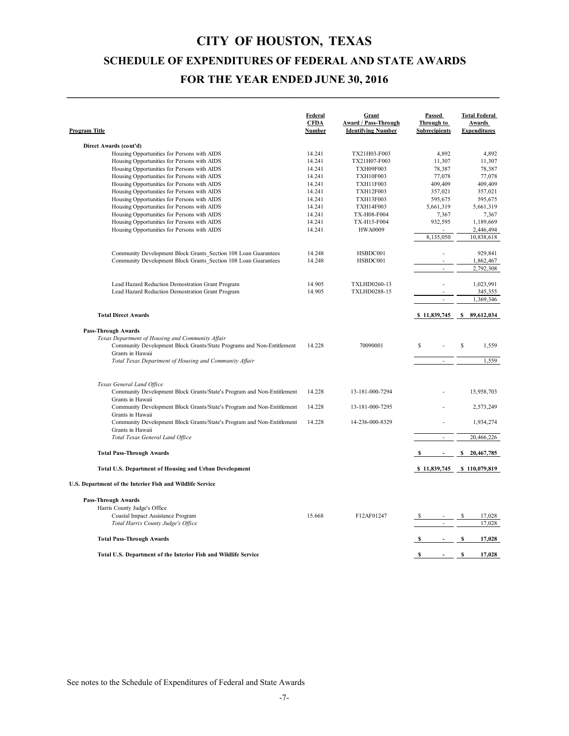## **CITY OF HOUSTON, TEXAS SCHEDULE OF EXPENDITURES OF FEDERAL AND STATE AWARDS FOR THE YEAR ENDED JUNE 30, 2016**

**\_\_\_\_\_\_\_\_\_\_\_\_\_\_\_\_\_\_\_\_\_\_\_\_\_\_\_\_\_\_\_\_\_\_\_\_\_\_\_\_\_\_\_\_\_\_\_\_\_\_\_\_\_\_\_\_\_\_\_\_\_\_\_\_\_\_\_\_\_\_\_\_\_\_**

| Program Title                                                                              | Federal<br><b>CFDA</b><br>Number | Grant<br>Award / Pass-Through<br><b>Identifying Number</b> | Passed<br>Through to<br><b>Subrecipients</b> | <b>Total Federal</b><br><b>Awards</b><br><b>Expenditures</b> |
|--------------------------------------------------------------------------------------------|----------------------------------|------------------------------------------------------------|----------------------------------------------|--------------------------------------------------------------|
| Direct Awards (cont'd)                                                                     |                                  |                                                            |                                              |                                                              |
| Housing Opportunities for Persons with AIDS                                                | 14.241                           | TX21H03-F003                                               | 4,892                                        | 4,892                                                        |
| Housing Opportunities for Persons with AIDS                                                | 14.241                           | TX21H07-F003                                               | 11,307                                       | 11,307                                                       |
| Housing Opportunities for Persons with AIDS                                                | 14.241                           | <b>TXH09F003</b>                                           | 78,387                                       | 78,387                                                       |
| Housing Opportunities for Persons with AIDS                                                | 14.241                           | <b>TXH10F003</b>                                           | 77,078                                       | 77,078                                                       |
| Housing Opportunities for Persons with AIDS                                                | 14.241                           | <b>TXH11F003</b>                                           | 409,409                                      | 409,409                                                      |
| Housing Opportunities for Persons with AIDS                                                | 14.241                           | <b>TXH12F003</b>                                           | 357,021                                      | 357,021                                                      |
| Housing Opportunities for Persons with AIDS                                                | 14.241<br>14.241                 | <b>TXH13F003</b><br><b>TXH14F003</b>                       | 595,675<br>5,661,319                         | 595,675<br>5,661,319                                         |
| Housing Opportunities for Persons with AIDS<br>Housing Opportunities for Persons with AIDS | 14.241                           | TX-H08-F004                                                | 7,367                                        | 7,367                                                        |
| Housing Opportunities for Persons with AIDS                                                | 14.241                           | TX-H15-F004                                                | 932,595                                      | 1,189,669                                                    |
| Housing Opportunities for Persons with AIDS                                                | 14.241                           | <b>HWA0009</b>                                             |                                              | 2,446,494                                                    |
|                                                                                            |                                  |                                                            | 8,135,050                                    | 10,838,618                                                   |
| Community Development Block Grants Section 108 Loan Guarantees                             | 14.248                           | HSBDC001                                                   |                                              | 929,841                                                      |
| Community Development Block Grants Section 108 Loan Guarantees                             | 14.248                           | HSBDC001                                                   |                                              | 1,862,467                                                    |
|                                                                                            |                                  |                                                            | $\overline{\phantom{a}}$                     | 2,792,308                                                    |
| Lead Hazard Reduction Demostration Grant Program                                           | 14.905                           | <b>TXLHD0260-13</b>                                        |                                              | 1,023,991                                                    |
| Lead Hazard Reduction Demostration Grant Program                                           | 14.905                           | <b>TXLHD0288-15</b>                                        |                                              | 345,355                                                      |
|                                                                                            |                                  |                                                            |                                              | 1,369,346                                                    |
| <b>Total Direct Awards</b>                                                                 |                                  |                                                            |                                              | \$11,839,745 \$89,612,034                                    |
| Pass-Through Awards                                                                        |                                  |                                                            |                                              |                                                              |
| Texas Department of Housing and Community Affair                                           |                                  |                                                            |                                              |                                                              |
| Community Development Block Grants/State Programs and Non-Entitlement                      | 14.228                           | 70090001                                                   | S                                            | S<br>1,559                                                   |
| Grants in Hawaii                                                                           |                                  |                                                            |                                              |                                                              |
| Total Texas Department of Housing and Community Affair                                     |                                  |                                                            |                                              | 1,559                                                        |
| Texas General Land Office                                                                  |                                  |                                                            |                                              |                                                              |
| Community Development Block Grants/State's Program and Non-Entitlement                     | 14.228                           | 13-181-000-7294                                            |                                              | 15,958,703                                                   |
| Grants in Hawaii                                                                           |                                  |                                                            |                                              |                                                              |
| Community Development Block Grants/State's Program and Non-Entitlement<br>Grants in Hawaii | 14.228                           | 13-181-000-7295                                            |                                              | 2,573,249                                                    |
| Community Development Block Grants/State's Program and Non-Entitlement                     | 14.228                           | 14-236-000-8329                                            |                                              | 1,934,274                                                    |
| Grants in Hawaii<br>Total Texas General Land Office                                        |                                  |                                                            | L.                                           | 20,466,226                                                   |
| <b>Total Pass-Through Awards</b>                                                           |                                  |                                                            | - S<br>$\sim 100$                            | S.<br>20,467,785                                             |
|                                                                                            |                                  |                                                            |                                              |                                                              |
| Total U.S. Department of Housing and Urban Development                                     |                                  |                                                            |                                              | \$11,839,745 \$110,079,819                                   |
| U.S. Department of the Interior Fish and Wildlife Service                                  |                                  |                                                            |                                              |                                                              |
| <b>Pass-Through Awards</b>                                                                 |                                  |                                                            |                                              |                                                              |
| Harris County Judge's Office                                                               |                                  |                                                            |                                              |                                                              |
| Coastal Impact Assistance Program                                                          | 15.668                           | F12AF01247                                                 |                                              | S<br>17,028                                                  |
| Total Harris County Judge's Office                                                         |                                  |                                                            |                                              | 17,028                                                       |
| <b>Total Pass-Through Awards</b>                                                           |                                  |                                                            | $\sim 100$                                   | s<br>17,028                                                  |
| Total U.S. Department of the Interior Fish and Wildlife Service                            |                                  |                                                            | $s - s$                                      | 17,028                                                       |
|                                                                                            |                                  |                                                            |                                              |                                                              |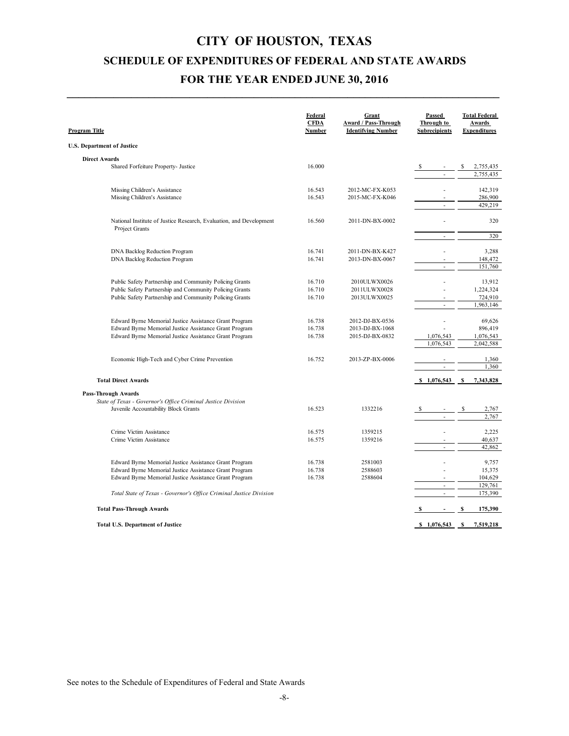## **CITY OF HOUSTON, TEXAS SCHEDULE OF EXPENDITURES OF FEDERAL AND STATE AWARDS FOR THE YEAR ENDED JUNE 30, 2016**

**\_\_\_\_\_\_\_\_\_\_\_\_\_\_\_\_\_\_\_\_\_\_\_\_\_\_\_\_\_\_\_\_\_\_\_\_\_\_\_\_\_\_\_\_\_\_\_\_\_\_\_\_\_\_\_\_\_\_\_\_\_\_\_\_\_\_\_\_\_\_\_\_\_\_**

| <b>Program Title</b>                                                                                             | Federal<br><b>CFDA</b><br>Number | Grant<br><b>Award / Pass-Through</b><br><b>Identifying Number</b> | Passed<br>Through to<br><b>Subrecipients</b> | <b>Total Federal</b><br><b>Awards</b><br><b>Expenditures</b> |
|------------------------------------------------------------------------------------------------------------------|----------------------------------|-------------------------------------------------------------------|----------------------------------------------|--------------------------------------------------------------|
| <b>U.S. Department of Justice</b>                                                                                |                                  |                                                                   |                                              |                                                              |
| <b>Direct Awards</b>                                                                                             |                                  |                                                                   |                                              |                                                              |
| Shared Forfeiture Property- Justice                                                                              | 16.000                           |                                                                   | -S                                           | 2,755,435<br>2,755,435                                       |
|                                                                                                                  |                                  |                                                                   |                                              |                                                              |
| Missing Children's Assistance                                                                                    | 16.543                           | 2012-MC-FX-K053                                                   |                                              | 142,319                                                      |
| Missing Children's Assistance                                                                                    | 16.543                           | 2015-MC-FX-K046                                                   |                                              | 286,900                                                      |
|                                                                                                                  |                                  |                                                                   | ÷,                                           | 429,219                                                      |
| National Institute of Justice Research, Evaluation, and Development                                              | 16.560                           | 2011-DN-BX-0002                                                   |                                              | 320                                                          |
| Project Grants                                                                                                   |                                  |                                                                   |                                              | 320                                                          |
|                                                                                                                  |                                  |                                                                   |                                              |                                                              |
| DNA Backlog Reduction Program                                                                                    | 16.741                           | 2011-DN-BX-K427                                                   |                                              | 3,288                                                        |
| DNA Backlog Reduction Program                                                                                    | 16.741                           | 2013-DN-BX-0067                                                   |                                              | 148,472                                                      |
|                                                                                                                  |                                  |                                                                   | ä,                                           | 151,760                                                      |
| Public Safety Partnership and Community Policing Grants                                                          | 16.710                           | 2010ULWX0026                                                      |                                              | 13,912                                                       |
| Public Safety Partnership and Community Policing Grants                                                          | 16.710                           | 2011ULWX0028                                                      |                                              | 1,224,324                                                    |
| Public Safety Partnership and Community Policing Grants                                                          | 16.710                           | 2013ULWX0025                                                      |                                              | 724,910                                                      |
|                                                                                                                  |                                  |                                                                   | ÷,                                           | 1,963,146                                                    |
|                                                                                                                  |                                  |                                                                   |                                              |                                                              |
| Edward Byrne Memorial Justice Assistance Grant Program<br>Edward Byrne Memorial Justice Assistance Grant Program | 16.738<br>16.738                 | 2012-DJ-BX-0536<br>2013-DJ-BX-1068                                |                                              | 69,626<br>896,419                                            |
| Edward Byrne Memorial Justice Assistance Grant Program                                                           | 16.738                           | 2015-DJ-BX-0832                                                   | 1,076,543                                    | 1,076,543                                                    |
|                                                                                                                  |                                  |                                                                   | 1,076,543                                    | 2,042,588                                                    |
|                                                                                                                  |                                  |                                                                   |                                              |                                                              |
| Economic High-Tech and Cyber Crime Prevention                                                                    | 16.752                           | 2013-ZP-BX-0006                                                   |                                              | 1,360                                                        |
|                                                                                                                  |                                  |                                                                   |                                              | 1,360                                                        |
| <b>Total Direct Awards</b>                                                                                       |                                  |                                                                   |                                              | 7,343,828                                                    |
| <b>Pass-Through Awards</b>                                                                                       |                                  |                                                                   |                                              |                                                              |
| State of Texas - Governor's Office Criminal Justice Division                                                     |                                  |                                                                   |                                              |                                                              |
| Juvenile Accountability Block Grants                                                                             | 16.523                           | 1332216                                                           |                                              | \$<br>2,767                                                  |
|                                                                                                                  |                                  |                                                                   | $\sim$                                       | 2,767                                                        |
| Crime Victim Assistance                                                                                          | 16.575                           | 1359215                                                           |                                              | 2,225                                                        |
| Crime Victim Assistance                                                                                          | 16.575                           | 1359216                                                           |                                              | 40,637                                                       |
|                                                                                                                  |                                  |                                                                   |                                              | 42,862                                                       |
|                                                                                                                  |                                  |                                                                   |                                              |                                                              |
| Edward Byrne Memorial Justice Assistance Grant Program                                                           | 16.738<br>16.738                 | 2581003<br>2588603                                                | ä,                                           | 9,757<br>15,375                                              |
| Edward Byrne Memorial Justice Assistance Grant Program<br>Edward Byrne Memorial Justice Assistance Grant Program | 16.738                           | 2588604                                                           |                                              | 104,629                                                      |
|                                                                                                                  |                                  |                                                                   | ÷,                                           | 129,761                                                      |
| Total State of Texas - Governor's Office Criminal Justice Division                                               |                                  |                                                                   | ÷,                                           | 175,390                                                      |
| <b>Total Pass-Through Awards</b>                                                                                 |                                  |                                                                   | S<br>$\overline{\phantom{a}}$                | 175,390<br>S                                                 |
|                                                                                                                  |                                  |                                                                   |                                              |                                                              |
| <b>Total U.S. Department of Justice</b>                                                                          |                                  |                                                                   |                                              | 7,519,218                                                    |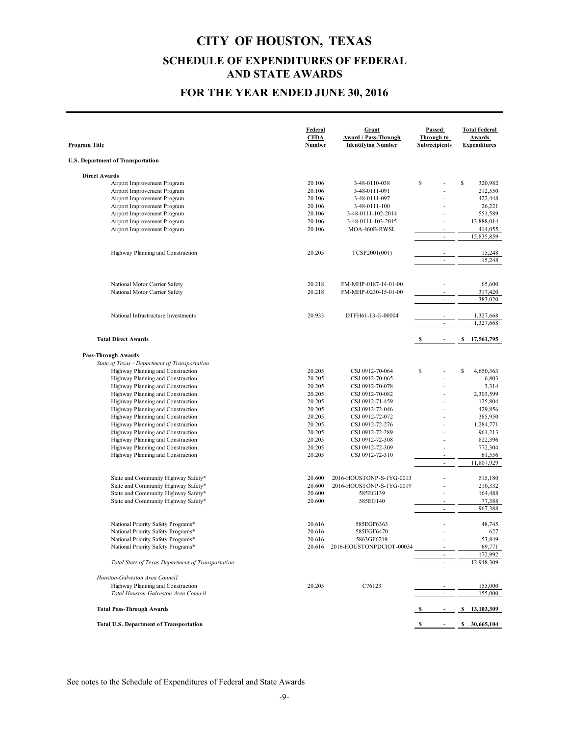### **FOR THE YEAR ENDED JUNE 30, 2016**

| Program Title        |                                                                        | Federal<br><b>CFDA</b><br>Number | Grant<br>Award / Pass-Through<br><b>Identifying Number</b> | Passed<br>Through to<br><b>Subrecipients</b> | <b>Total Federal</b><br>Awards<br><b>Expenditures</b> |
|----------------------|------------------------------------------------------------------------|----------------------------------|------------------------------------------------------------|----------------------------------------------|-------------------------------------------------------|
|                      | <b>U.S. Department of Transportation</b>                               |                                  |                                                            |                                              |                                                       |
| <b>Direct Awards</b> |                                                                        |                                  |                                                            |                                              |                                                       |
|                      | Airport Improvement Program                                            | 20.106                           | 3-48-0110-038                                              | S                                            | \$<br>320,982                                         |
|                      | Airport Improvement Program                                            | 20.106                           | 3-48-0111-091                                              |                                              | 212,550                                               |
|                      | Airport Improvement Program                                            | 20.106                           | 3-48-0111-097                                              |                                              | 422,448                                               |
|                      | Airport Improvement Program                                            | 20.106                           | 3-48-0111-100                                              |                                              | 26,221                                                |
|                      | Airport Improvement Program                                            | 20.106                           | 3-48-0111-102-2014                                         |                                              | 551,589                                               |
|                      | Airport Improvement Program                                            | 20.106                           | 3-48-0111-103-2015                                         |                                              | 13,888,014                                            |
|                      | Airport Improvement Program                                            | 20.106                           | MOA-460B-RWSL                                              |                                              | 414,055                                               |
|                      |                                                                        |                                  |                                                            | ÷,                                           | 15,835,859                                            |
|                      | Highway Planning and Construction                                      | 20.205                           | TCSP2001(001)                                              |                                              | 15,248                                                |
|                      |                                                                        |                                  |                                                            | $\overline{\phantom{a}}$                     | 15,248                                                |
|                      |                                                                        |                                  |                                                            |                                              |                                                       |
|                      | National Motor Carrier Safety                                          | 20.218                           | FM-MHP-0187-14-01-00                                       |                                              | 65,600                                                |
|                      | National Motor Carrier Safety                                          | 20.218                           | FM-MHP-0230-15-01-00                                       |                                              | 317,420                                               |
|                      |                                                                        |                                  |                                                            | $\sim$                                       | 383,020                                               |
|                      | National Infrastructure Investments                                    | 20.933                           | DTFH61-13-G-00004                                          |                                              | 1,327,668                                             |
|                      |                                                                        |                                  |                                                            | $\bar{a}$                                    | 1,327,668                                             |
|                      | <b>Total Direct Awards</b>                                             |                                  |                                                            | S<br>$\blacksquare$                          | \$<br>17,561,795                                      |
|                      | <b>Pass-Through Awards</b>                                             |                                  |                                                            |                                              |                                                       |
|                      | State of Texas - Department of Transportation                          |                                  |                                                            |                                              |                                                       |
|                      | Highway Planning and Construction                                      | 20.205                           | CSJ 0912-70-064                                            | S                                            | \$<br>4,650,363                                       |
|                      | Highway Planning and Construction                                      | 20.205                           | CSJ 0912-70-065                                            |                                              | 6,803                                                 |
|                      | Highway Planning and Construction                                      | 20.205                           | CSJ 0912-70-078                                            |                                              | 3,314                                                 |
|                      | Highway Planning and Construction                                      | 20.205                           | CSJ 0912-70-082                                            |                                              | 2,303,599                                             |
|                      | Highway Planning and Construction                                      | 20.205                           | CSJ 0912-71-459                                            | ٠                                            | 125,804                                               |
|                      | Highway Planning and Construction                                      | 20.205                           | CSJ 0912-72-046                                            |                                              | 429,856                                               |
|                      | Highway Planning and Construction                                      | 20.205                           | CSJ 0912-72-072                                            | ×.                                           | 385,950                                               |
|                      | Highway Planning and Construction<br>Highway Planning and Construction | 20.205<br>20.205                 | CSJ 0912-72-276                                            | ÷                                            | 1,284,771                                             |
|                      | Highway Planning and Construction                                      | 20.205                           | CSJ 0912-72-289<br>CSJ 0912-72-308                         |                                              | 961,213<br>822,396                                    |
|                      | Highway Planning and Construction                                      | 20.205                           | CSJ 0912-72-309                                            |                                              | 772,304                                               |
|                      | Highway Planning and Construction                                      | 20.205                           | CSJ 0912-72-310                                            |                                              | 61,556                                                |
|                      |                                                                        |                                  |                                                            | ÷.                                           | 11,807,929                                            |
|                      | State and Community Highway Safety*                                    | 20.600                           | 2016-HOUSTONP-S-1YG-0013                                   |                                              | 515,180                                               |
|                      | State and Community Highway Safety*                                    | 20.600                           | 2016-HOUSTONP-S-1YG-0019                                   |                                              | 210,332                                               |
|                      | State and Community Highway Safety*                                    | 20.600                           | 585EG139                                                   |                                              | 164,488                                               |
|                      | State and Community Highway Safety*                                    | 20.600                           | 585EG140                                                   |                                              | 77,388                                                |
|                      |                                                                        |                                  |                                                            | $\blacksquare$                               | 967,388                                               |
|                      | National Priority Safety Programs*                                     | 20.616                           | 585EGF6363                                                 |                                              | 48,745                                                |
|                      | National Priority Safety Programs*                                     | 20.616                           | 585EGF6470                                                 |                                              | 627                                                   |
|                      | National Priority Safety Programs*                                     | 20.616                           | 5863GF6219                                                 |                                              | 53,849                                                |
|                      | National Priority Safety Programs*                                     | 20.616                           | 2016-HOUSTONPDCIOT-00034                                   |                                              | 69,771                                                |
|                      | Total State of Texas Department of Transportation                      |                                  |                                                            | ÷                                            | 172,992<br>12,948,309                                 |
|                      |                                                                        |                                  |                                                            |                                              |                                                       |
|                      | Houston-Galveston Area Council                                         |                                  |                                                            |                                              |                                                       |
|                      | Highway Planning and Construction                                      | 20.205                           | C76123                                                     |                                              | 155,000                                               |
|                      | Total Houston-Galveston Area Council                                   |                                  |                                                            |                                              | 155,000                                               |
|                      | <b>Total Pass-Through Awards</b>                                       |                                  |                                                            |                                              | \$13,103,309                                          |
|                      | <b>Total U.S. Department of Transportation</b>                         |                                  |                                                            |                                              | \$30,665,104                                          |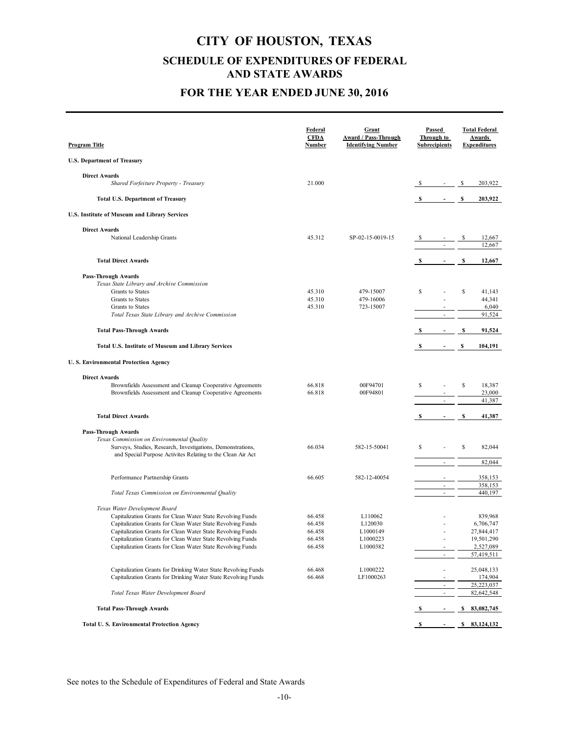### **FOR THE YEAR ENDED JUNE 30, 2016**

| <u>Program Title</u>                                                                         | Federal<br><b>CFDA</b><br>Number | Grant<br>Award / Pass-Through<br><b>Identifying Number</b> |    | Passed<br>Through to<br><b>Subrecipients</b> |    | <b>Total Federal</b><br>Awards<br><b>Expenditures</b> |
|----------------------------------------------------------------------------------------------|----------------------------------|------------------------------------------------------------|----|----------------------------------------------|----|-------------------------------------------------------|
| <b>U.S. Department of Treasury</b>                                                           |                                  |                                                            |    |                                              |    |                                                       |
|                                                                                              |                                  |                                                            |    |                                              |    |                                                       |
| <b>Direct Awards</b><br>Shared Forfeiture Property - Treasury                                | 21.000                           |                                                            |    | $\sigma_{\rm{max}}$                          | \$ | 203,922                                               |
| <b>Total U.S. Department of Treasury</b>                                                     |                                  |                                                            |    | $\sim 100$                                   | S  | 203,922                                               |
| U.S. Institute of Museum and Library Services                                                |                                  |                                                            |    |                                              |    |                                                       |
| <b>Direct Awards</b>                                                                         |                                  |                                                            |    |                                              |    |                                                       |
| National Leadership Grants                                                                   | 45.312                           | SP-02-15-0019-15                                           |    | $\mathcal{L}$                                |    | 12,667<br>12,667                                      |
| <b>Total Direct Awards</b>                                                                   |                                  |                                                            | S  | $\overline{\phantom{a}}$                     | \$ | 12,667                                                |
|                                                                                              |                                  |                                                            |    |                                              |    |                                                       |
| <b>Pass-Through Awards</b>                                                                   |                                  |                                                            |    |                                              |    |                                                       |
| Texas State Library and Archive Commission<br>Grants to States                               | 45.310                           | 479-15007                                                  | S  |                                              | \$ | 41,143                                                |
| Grants to States                                                                             | 45.310                           | 479-16006                                                  |    |                                              |    | 44,341                                                |
| Grants to States                                                                             | 45.310                           | 723-15007                                                  |    |                                              |    | 6,040                                                 |
| Total Texas State Library and Archive Commission                                             |                                  |                                                            |    | $\sim$                                       |    | 91,524                                                |
| <b>Total Pass-Through Awards</b>                                                             |                                  |                                                            |    |                                              | S  | 91,524                                                |
| Total U.S. Institute of Museum and Library Services                                          |                                  |                                                            | s  |                                              | \$ | 104,191                                               |
| <b>U.S. Environmental Protection Agency</b>                                                  |                                  |                                                            |    |                                              |    |                                                       |
|                                                                                              |                                  |                                                            |    |                                              |    |                                                       |
| <b>Direct Awards</b><br>Brownfields Assessment and Cleanup Cooperative Agreements            | 66.818                           | 00F94701                                                   | S  |                                              | \$ | 18,387                                                |
| Brownfields Assessment and Cleanup Cooperative Agreements                                    | 66.818                           | 00F94801                                                   |    |                                              |    | 23,000                                                |
|                                                                                              |                                  |                                                            |    | $\overline{\phantom{a}}$                     |    | 41,387                                                |
| <b>Total Direct Awards</b>                                                                   |                                  |                                                            |    |                                              | S  | 41,387                                                |
|                                                                                              |                                  |                                                            |    |                                              |    |                                                       |
| <b>Pass-Through Awards</b><br>Texas Commission on Environmental Quality                      |                                  |                                                            |    |                                              |    |                                                       |
| Surveys, Studies, Research, Investigations, Demonstrations,                                  | 66.034                           | 582-15-50041                                               | \$ |                                              | \$ | 82,044                                                |
| and Special Purpose Activites Relating to the Clean Air Act                                  |                                  |                                                            |    |                                              |    |                                                       |
|                                                                                              |                                  |                                                            |    | $\overline{\phantom{a}}$                     |    | 82,044                                                |
| Performance Partnership Grants                                                               | 66.605                           | 582-12-40054                                               |    |                                              |    | 358,153                                               |
|                                                                                              |                                  |                                                            |    | $\overline{\phantom{a}}$                     |    | 358,153                                               |
| Total Texas Commission on Environmental Quality                                              |                                  |                                                            |    | $\overline{\phantom{a}}$                     |    | 440,197                                               |
|                                                                                              |                                  |                                                            |    |                                              |    |                                                       |
| Texas Water Development Board<br>Capitalization Grants for Clean Water State Revolving Funds | 66.458                           | L110062                                                    |    |                                              |    | 839,968                                               |
| Capitalization Grants for Clean Water State Revolving Funds                                  | 66.458                           | L120030                                                    |    |                                              |    | 6,706,747                                             |
| Capitalization Grants for Clean Water State Revolving Funds                                  | 66.458                           | L1000149                                                   |    |                                              |    | 27,844,417                                            |
| Capitalization Grants for Clean Water State Revolving Funds                                  | 66.458                           | L1000223                                                   |    |                                              |    | 19,501,290                                            |
| Capitalization Grants for Clean Water State Revolving Funds                                  | 66.458                           | L1000382                                                   |    |                                              |    | 2,527,089                                             |
|                                                                                              |                                  |                                                            |    | ÷,                                           |    | 57,419,511                                            |
| Capitalization Grants for Drinking Water State Revolving Funds                               | 66.468                           | L1000222                                                   |    | ä,                                           |    | 25,048,133                                            |
| Capitalization Grants for Drinking Water State Revolving Funds                               | 66.468                           | LF1000263                                                  |    |                                              |    | 174,904                                               |
|                                                                                              |                                  |                                                            |    | $\overline{\phantom{a}}$                     |    | 25,223,037                                            |
| Total Texas Water Development Board                                                          |                                  |                                                            |    | ÷,                                           |    | 82,642,548                                            |
| <b>Total Pass-Through Awards</b>                                                             |                                  |                                                            |    |                                              | \$ | 83,082,745                                            |
| Total U.S. Environmental Protection Agency                                                   |                                  |                                                            | S. |                                              |    | \$83,124,132                                          |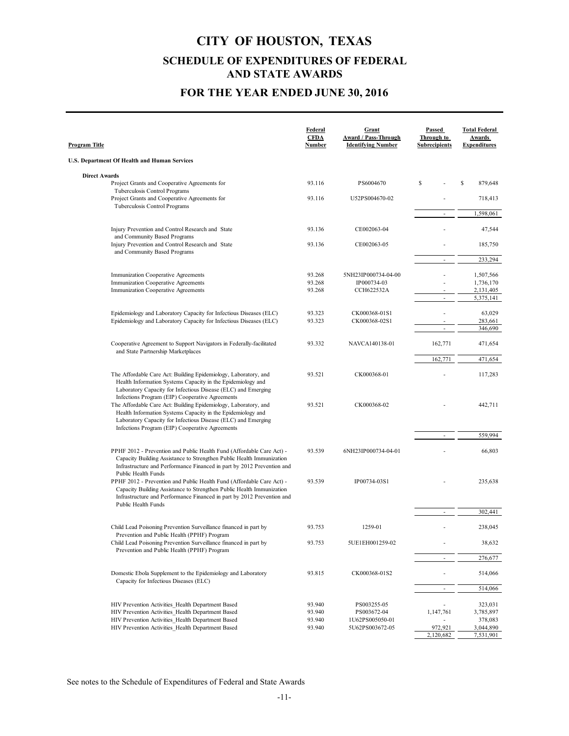### **FOR THE YEAR ENDED JUNE 30, 2016**

| Program Title                                                                                                                                                                                                                                      | Federal<br><b>CFDA</b><br>Number | Grant<br><b>Award / Pass-Through</b><br><b>Identifying Number</b> | Passed<br>Through to<br><b>Subrecipients</b> | <b>Total Federal</b><br>Awards<br><b>Expenditures</b> |
|----------------------------------------------------------------------------------------------------------------------------------------------------------------------------------------------------------------------------------------------------|----------------------------------|-------------------------------------------------------------------|----------------------------------------------|-------------------------------------------------------|
| U.S. Department Of Health and Human Services                                                                                                                                                                                                       |                                  |                                                                   |                                              |                                                       |
| <b>Direct Awards</b>                                                                                                                                                                                                                               |                                  |                                                                   |                                              |                                                       |
| Project Grants and Cooperative Agreements for<br>Tuberculosis Control Programs                                                                                                                                                                     | 93.116                           | PS6004670                                                         | S                                            | \$<br>879,648                                         |
| Project Grants and Cooperative Agreements for                                                                                                                                                                                                      | 93.116                           | U52PS004670-02                                                    |                                              | 718,413                                               |
| Tuberculosis Control Programs                                                                                                                                                                                                                      |                                  |                                                                   | $\overline{\phantom{a}}$                     | 1,598,061                                             |
| Injury Prevention and Control Research and State<br>and Community Based Programs                                                                                                                                                                   | 93.136                           | CE002063-04                                                       |                                              | 47,544                                                |
| Injury Prevention and Control Research and State<br>and Community Based Programs                                                                                                                                                                   | 93.136                           | CE002063-05                                                       |                                              | 185,750                                               |
|                                                                                                                                                                                                                                                    |                                  |                                                                   | $\sim$                                       | 233,294                                               |
| Immunization Cooperative Agreements                                                                                                                                                                                                                | 93.268                           | 5NH23IP000734-04-00                                               |                                              | 1,507,566                                             |
| Immunization Cooperative Agreements<br>Immunization Cooperative Agreements                                                                                                                                                                         | 93.268<br>93.268                 | IP000734-03<br>CCH622532A                                         |                                              | 1,736,170<br>2,131,405                                |
|                                                                                                                                                                                                                                                    |                                  |                                                                   | $\bar{a}$                                    | 5,375,141                                             |
| Epidemiology and Laboratory Capacity for Infectious Diseases (ELC)                                                                                                                                                                                 | 93.323                           | CK000368-01S1                                                     |                                              | 63,029                                                |
| Epidemiology and Laboratory Capacity for Infectious Diseases (ELC)                                                                                                                                                                                 | 93.323                           | CK000368-02S1                                                     | $\sim$                                       | 283,661<br>346,690                                    |
|                                                                                                                                                                                                                                                    |                                  |                                                                   |                                              |                                                       |
| Cooperative Agreement to Support Navigators in Federally-facilitated<br>and State Partnership Marketplaces                                                                                                                                         | 93.332                           | NAVCA140138-01                                                    | 162,771<br>162,771                           | 471,654<br>471,654                                    |
|                                                                                                                                                                                                                                                    |                                  |                                                                   |                                              |                                                       |
| The Affordable Care Act: Building Epidemiology, Laboratory, and<br>Health Information Systems Capacity in the Epidemiology and<br>Laboratory Capacity for Infectious Disease (ELC) and Emerging<br>Infections Program (EIP) Cooperative Agreements | 93.521                           | CK000368-01                                                       |                                              | 117,283                                               |
| The Affordable Care Act: Building Epidemiology, Laboratory, and<br>Health Information Systems Capacity in the Epidemiology and<br>Laboratory Capacity for Infectious Disease (ELC) and Emerging<br>Infections Program (EIP) Cooperative Agreements | 93.521                           | CK000368-02                                                       |                                              | 442,711                                               |
|                                                                                                                                                                                                                                                    |                                  |                                                                   |                                              | 559,994                                               |
| PPHF 2012 - Prevention and Public Health Fund (Affordable Care Act) -<br>Capacity Building Assistance to Strengthen Public Health Immunization<br>Infrastructure and Performance Financed in part by 2012 Prevention and<br>Public Health Funds    | 93.539                           | 6NH23IP000734-04-01                                               |                                              | 66,803                                                |
| PPHF 2012 - Prevention and Public Health Fund (Affordable Care Act) -<br>Capacity Building Assistance to Strengthen Public Health Immunization<br>Infrastructure and Performance Financed in part by 2012 Prevention and<br>Public Health Funds    | 93.539                           | IP00734-03S1                                                      |                                              | 235,638                                               |
|                                                                                                                                                                                                                                                    |                                  |                                                                   | $\sim$                                       | 302,441                                               |
| Child Lead Poisoning Prevention Surveillance financed in part by<br>Prevention and Public Health (PPHF) Program                                                                                                                                    | 93.753                           | 1259-01                                                           |                                              | 238,045                                               |
| Child Lead Poisoning Prevention Surveillance financed in part by<br>Prevention and Public Health (PPHF) Program                                                                                                                                    | 93.753                           | 5UE1EH001259-02                                                   |                                              | 38,632                                                |
|                                                                                                                                                                                                                                                    |                                  |                                                                   |                                              | 276,677                                               |
| Domestic Ebola Supplement to the Epidemiology and Laboratory<br>Capacity for Infectious Diseases (ELC)                                                                                                                                             | 93.815                           | CK000368-01S2                                                     |                                              | 514,066                                               |
|                                                                                                                                                                                                                                                    |                                  |                                                                   | ÷,                                           | 514,066                                               |
| HIV Prevention Activities Health Department Based                                                                                                                                                                                                  | 93.940                           | PS003255-05                                                       |                                              | 323,031                                               |
| HIV Prevention Activities Health Department Based                                                                                                                                                                                                  | 93.940<br>93.940                 | PS003672-04                                                       | 1,147,761                                    | 3,785,897                                             |
| HIV Prevention Activities_Health Department Based<br>HIV Prevention Activities_Health Department Based                                                                                                                                             | 93.940                           | 1U62PS005050-01<br>5U62PS003672-05                                | 972,921                                      | 378,083<br>3,044,890                                  |
|                                                                                                                                                                                                                                                    |                                  |                                                                   | 2,120,682                                    | 7,531,901                                             |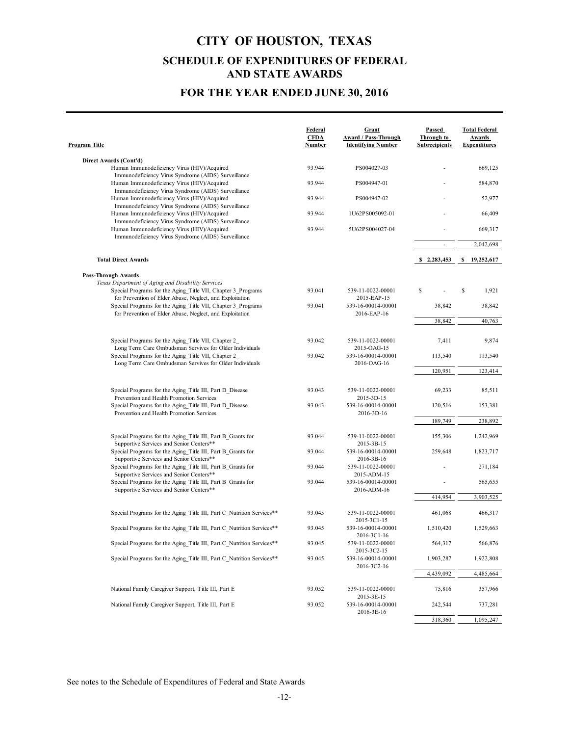### **FOR THE YEAR ENDED JUNE 30, 2016**

| Program Title                                                                                                                                             | Federal<br><b>CFDA</b><br>Number | Grant<br>Award / Pass-Through<br><b>Identifying Number</b> | Passed<br>Through to<br><b>Subrecipients</b> | <b>Total Federal</b><br>Awards<br><b>Expenditures</b> |
|-----------------------------------------------------------------------------------------------------------------------------------------------------------|----------------------------------|------------------------------------------------------------|----------------------------------------------|-------------------------------------------------------|
| Direct Awards (Cont'd)                                                                                                                                    |                                  |                                                            |                                              |                                                       |
| Human Immunodeficiency Virus (HIV)/Acquired                                                                                                               | 93.944                           | PS004027-03                                                |                                              | 669,125                                               |
| Immunodeficiency Virus Syndrome (AIDS) Surveillance<br>Human Immunodeficiency Virus (HIV)/Acquired<br>Immunodeficiency Virus Syndrome (AIDS) Surveillance | 93.944                           | PS004947-01                                                |                                              | 584,870                                               |
| Human Immunodeficiency Virus (HIV)/Acquired<br>Immunodeficiency Virus Syndrome (AIDS) Surveillance                                                        | 93.944                           | PS004947-02                                                |                                              | 52,977                                                |
| Human Immunodeficiency Virus (HIV)/Acquired<br>Immunodeficiency Virus Syndrome (AIDS) Surveillance                                                        | 93.944                           | 1U62PS005092-01                                            |                                              | 66,409                                                |
| Human Immunodeficiency Virus (HIV)/Acquired<br>Immunodeficiency Virus Syndrome (AIDS) Surveillance                                                        | 93.944                           | 5U62PS004027-04                                            |                                              | 669,317                                               |
|                                                                                                                                                           |                                  |                                                            | $\overline{\phantom{a}}$                     | 2,042,698                                             |
| <b>Total Direct Awards</b>                                                                                                                                |                                  |                                                            | \$2,283,453                                  | \$ 19,252,617                                         |
| <b>Pass-Through Awards</b>                                                                                                                                |                                  |                                                            |                                              |                                                       |
| Texas Department of Aging and Disability Services                                                                                                         |                                  |                                                            |                                              |                                                       |
| Special Programs for the Aging Title VII, Chapter 3 Programs<br>for Prevention of Elder Abuse, Neglect, and Exploitation                                  | 93.041                           | 539-11-0022-00001<br>2015-EAP-15                           | S                                            | \$<br>1,921                                           |
| Special Programs for the Aging Title VII, Chapter 3 Programs<br>for Prevention of Elder Abuse, Neglect, and Exploitation                                  | 93.041                           | 539-16-00014-00001<br>2016-EAP-16                          | 38,842                                       | 38,842                                                |
|                                                                                                                                                           |                                  |                                                            | 38,842                                       | 40,763                                                |
| Special Programs for the Aging Title VII, Chapter 2<br>Long Term Care Ombudsman Servives for Older Individuals                                            | 93.042                           | 539-11-0022-00001<br>2015-OAG-15                           | 7,411                                        | 9,874                                                 |
| Special Programs for the Aging Title VII, Chapter 2<br>Long Term Care Ombudsman Servives for Older Individuals                                            | 93.042                           | 539-16-00014-00001<br>2016-OAG-16                          | 113,540                                      | 113,540                                               |
|                                                                                                                                                           |                                  |                                                            | 120,951                                      | 123,414                                               |
| Special Programs for the Aging Title III, Part D Disease<br>Prevention and Health Promotion Services                                                      | 93.043                           | 539-11-0022-00001<br>2015-3D-15                            | 69,233                                       | 85,511                                                |
| Special Programs for the Aging Title III, Part D Disease<br>Prevention and Health Promotion Services                                                      | 93.043                           | 539-16-00014-00001<br>2016-3D-16                           | 120,516                                      | 153,381                                               |
|                                                                                                                                                           |                                  |                                                            | 189,749                                      | 238,892                                               |
| Special Programs for the Aging Title III, Part B Grants for<br>Supportive Services and Senior Centers**                                                   | 93.044                           | 539-11-0022-00001<br>2015-3B-15                            | 155,306                                      | 1,242,969                                             |
| Special Programs for the Aging Title III, Part B Grants for<br>Supportive Services and Senior Centers**                                                   | 93.044                           | 539-16-00014-00001<br>2016-3B-16                           | 259,648                                      | 1,823,717                                             |
| Special Programs for the Aging Title III, Part B Grants for<br>Supportive Services and Senior Centers**                                                   | 93.044                           | 539-11-0022-00001<br>2015-ADM-15                           |                                              | 271,184                                               |
| Special Programs for the Aging Title III, Part B Grants for<br>Supportive Services and Senior Centers**                                                   | 93.044                           | 539-16-00014-00001<br>2016-ADM-16                          |                                              | 565,655                                               |
|                                                                                                                                                           |                                  |                                                            | 414,954                                      | 3,903,525                                             |
| Special Programs for the Aging Title III, Part C Nutrition Services**                                                                                     | 93.045                           | 539-11-0022-00001<br>2015-3C1-15                           | 461,068                                      | 466,317                                               |
| Special Programs for the Aging Title III, Part C Nutrition Services**                                                                                     | 93.045                           | 539-16-00014-00001<br>2016-3C1-16                          | 1,510,420                                    | 1,529,663                                             |
| Special Programs for the Aging Title III, Part C Nutrition Services**                                                                                     | 93.045                           | 539-11-0022-00001<br>2015-3C2-15                           | 564,317                                      | 566,876                                               |
| Special Programs for the Aging Title III, Part C Nutrition Services**                                                                                     | 93.045                           | 539-16-00014-00001<br>2016-3C2-16                          | 1,903,287                                    | 1,922,808                                             |
|                                                                                                                                                           |                                  |                                                            | 4,439,092                                    | 4,485,664                                             |
| National Family Caregiver Support, Title III, Part E                                                                                                      | 93.052                           | 539-11-0022-00001<br>2015-3E-15                            | 75,816                                       | 357,966                                               |
| National Family Caregiver Support, Title III, Part E                                                                                                      | 93.052                           | 539-16-00014-00001<br>2016-3E-16                           | 242,544                                      | 737,281                                               |
|                                                                                                                                                           |                                  |                                                            | 318,360                                      | 1,095,247                                             |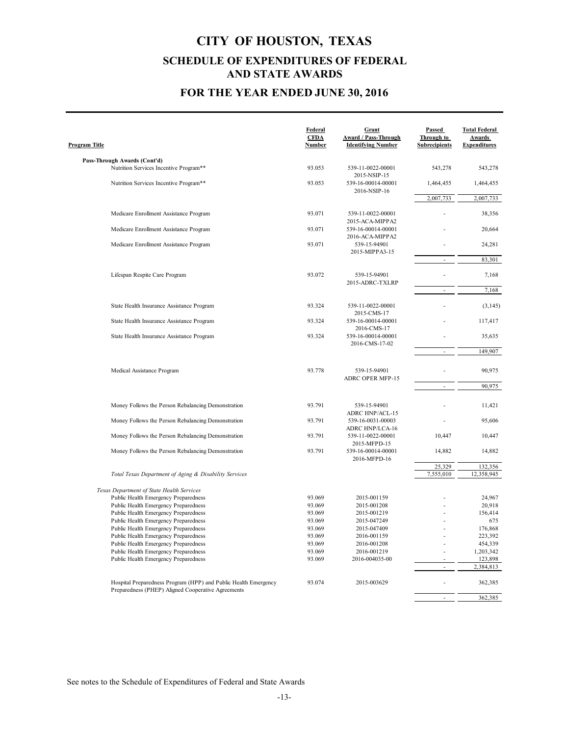### **FOR THE YEAR ENDED JUNE 30, 2016**

| <b>Program Title</b>                                                                                                  | <u>Federal</u><br><b>CFDA</b><br><b>Number</b> | Grant<br><b>Award / Pass-Through</b><br><b>Identifying Number</b> | Passed<br>Through to<br><b>Subrecipients</b> | <b>Total Federal</b><br>Awards<br><b>Expenditures</b> |
|-----------------------------------------------------------------------------------------------------------------------|------------------------------------------------|-------------------------------------------------------------------|----------------------------------------------|-------------------------------------------------------|
|                                                                                                                       |                                                |                                                                   |                                              |                                                       |
| Pass-Through Awards (Cont'd)<br>Nutrition Services Incentive Program**                                                | 93.053                                         | 539-11-0022-00001<br>2015-NSIP-15                                 | 543,278                                      | 543,278                                               |
| Nutrition Services Incentive Program**                                                                                | 93.053                                         | 539-16-00014-00001<br>2016-NSIP-16                                | 1,464,455                                    | 1,464,455                                             |
|                                                                                                                       |                                                |                                                                   | 2,007,733                                    | 2,007,733                                             |
| Medicare Enrollment Assistance Program                                                                                | 93.071                                         | 539-11-0022-00001                                                 |                                              | 38,356                                                |
| Medicare Enrollment Assistance Program                                                                                | 93.071                                         | 2015-ACA-MIPPA2<br>539-16-00014-00001<br>2016-ACA-MIPPA2          |                                              | 20,664                                                |
| Medicare Enrollment Assistance Program                                                                                | 93.071                                         | 539-15-94901<br>2015-MIPPA3-15                                    |                                              | 24,281                                                |
|                                                                                                                       |                                                |                                                                   |                                              | 83,301                                                |
| Lifespan Respite Care Program                                                                                         | 93.072                                         | 539-15-94901<br>2015-ADRC-TXLRP                                   |                                              | 7,168                                                 |
|                                                                                                                       |                                                |                                                                   |                                              | 7,168                                                 |
| State Health Insurance Assistance Program                                                                             | 93.324                                         | 539-11-0022-00001                                                 |                                              | (3, 145)                                              |
| State Health Insurance Assistance Program                                                                             | 93.324                                         | 2015-CMS-17<br>539-16-00014-00001                                 |                                              | 117,417                                               |
| State Health Insurance Assistance Program                                                                             | 93.324                                         | 2016-CMS-17<br>539-16-00014-00001<br>2016-CMS-17-02               |                                              | 35,635                                                |
|                                                                                                                       |                                                |                                                                   |                                              | 149,907                                               |
| Medical Assistance Program                                                                                            | 93.778                                         | 539-15-94901<br>ADRC OPER MFP-15                                  |                                              | 90,975                                                |
|                                                                                                                       |                                                |                                                                   | ÷.                                           | 90,975                                                |
|                                                                                                                       |                                                |                                                                   |                                              |                                                       |
| Money Follows the Person Rebalancing Demonstration                                                                    | 93.791                                         | 539-15-94901<br>ADRC HNP/ACL-15                                   |                                              | 11,421                                                |
| Money Follows the Person Rebalancing Demonstration                                                                    | 93.791                                         | 539-16-0031-00003<br><b>ADRC HNP/LCA-16</b>                       |                                              | 95,606                                                |
| Money Follows the Person Rebalancing Demonstration                                                                    | 93.791                                         | 539-11-0022-00001<br>2015-MFPD-15                                 | 10,447                                       | 10,447                                                |
| Money Follows the Person Rebalancing Demonstration                                                                    | 93.791                                         | 539-16-00014-00001<br>2016-MFPD-16                                | 14,882                                       | 14,882                                                |
|                                                                                                                       |                                                |                                                                   | 25,329                                       | 132,356                                               |
| Total Texas Department of Aging & Disability Services                                                                 |                                                |                                                                   | 7,555,010                                    | 12,358,945                                            |
| Texas Department of State Health Services                                                                             |                                                |                                                                   |                                              |                                                       |
| Public Health Emergency Preparedness                                                                                  | 93.069                                         | 2015-001159                                                       |                                              | 24,967                                                |
| Public Health Emergency Preparedness                                                                                  | 93.069                                         | 2015-001208                                                       |                                              | 20,918                                                |
| Public Health Emergency Preparedness                                                                                  | 93.069                                         | 2015-001219                                                       |                                              | 156,414                                               |
| Public Health Emergency Preparedness                                                                                  | 93.069                                         | 2015-047249                                                       |                                              | 675                                                   |
| Public Health Emergency Preparedness                                                                                  | 93.069                                         | 2015-047409                                                       |                                              | 176,868                                               |
| Public Health Emergency Preparedness                                                                                  | 93.069                                         | 2016-001159                                                       |                                              | 223,392                                               |
| Public Health Emergency Preparedness                                                                                  | 93.069                                         | 2016-001208                                                       |                                              | 454,339                                               |
| Public Health Emergency Preparedness                                                                                  | 93.069                                         | 2016-001219                                                       |                                              | 1,203,342                                             |
| Public Health Emergency Preparedness                                                                                  | 93.069                                         | 2016-004035-00                                                    |                                              | 123,898                                               |
|                                                                                                                       |                                                |                                                                   | $\blacksquare$                               | 2,384,813                                             |
| Hospital Preparedness Program (HPP) and Public Health Emergency<br>Preparedness (PHEP) Aligned Cooperative Agreements | 93.074                                         | 2015-003629                                                       |                                              | 362,385                                               |
|                                                                                                                       |                                                |                                                                   |                                              | 362,385                                               |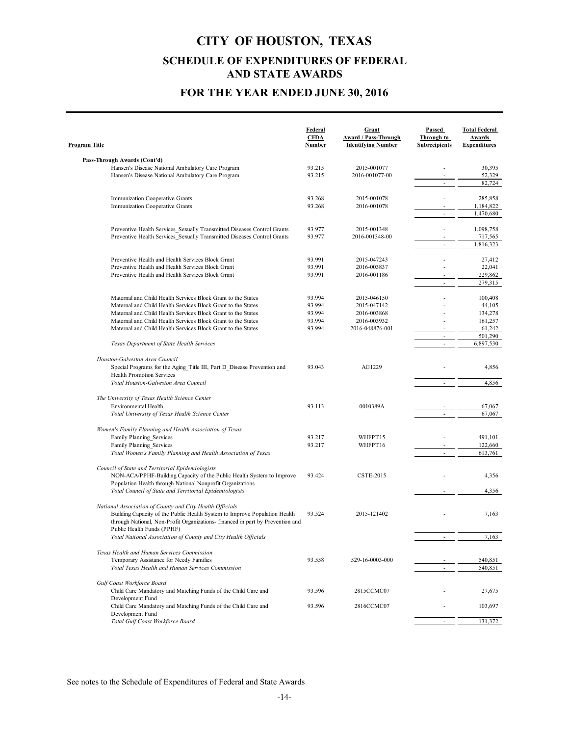### **FOR THE YEAR ENDED JUNE 30, 2016**

| <b>Program Title</b>                                                                                                                   | Federal<br><b>CFDA</b><br><b>Number</b> | Grant<br>Award / Pass-Through<br><b>Identifying Number</b> | Passed<br>Through to<br><b>Subrecipients</b> | <b>Total Federal</b><br>Awards<br><b>Expenditures</b> |
|----------------------------------------------------------------------------------------------------------------------------------------|-----------------------------------------|------------------------------------------------------------|----------------------------------------------|-------------------------------------------------------|
|                                                                                                                                        |                                         |                                                            |                                              |                                                       |
| Pass-Through Awards (Cont'd)<br>Hansen's Disease National Ambulatory Care Program                                                      | 93.215                                  | 2015-001077                                                |                                              | 30,395                                                |
| Hansen's Disease National Ambulatory Care Program                                                                                      | 93.215                                  | 2016-001077-00                                             |                                              | 52,329                                                |
|                                                                                                                                        |                                         |                                                            | $\overline{\phantom{a}}$                     | 82,724                                                |
|                                                                                                                                        |                                         |                                                            |                                              |                                                       |
| Immunization Cooperative Grants<br>Immunization Cooperative Grants                                                                     | 93.268<br>93.268                        | 2015-001078<br>2016-001078                                 |                                              | 285,858<br>1,184,822                                  |
|                                                                                                                                        |                                         |                                                            | ÷,                                           | 1,470,680                                             |
|                                                                                                                                        |                                         |                                                            |                                              |                                                       |
| Preventive Health Services Sexually Transmitted Diseases Control Grants                                                                | 93.977                                  | 2015-001348                                                |                                              | 1,098,758                                             |
| Preventive Health Services Sexually Transmitted Diseases Control Grants                                                                | 93.977                                  | 2016-001348-00                                             | ÷.                                           | 717,565<br>1,816,323                                  |
|                                                                                                                                        |                                         |                                                            |                                              |                                                       |
| Preventive Health and Health Services Block Grant                                                                                      | 93.991                                  | 2015-047243                                                |                                              | 27,412                                                |
| Preventive Health and Health Services Block Grant                                                                                      | 93.991                                  | 2016-003837                                                |                                              | 22,041                                                |
| Preventive Health and Health Services Block Grant                                                                                      | 93.991                                  | 2016-001186                                                |                                              | 229,862                                               |
|                                                                                                                                        |                                         |                                                            | ä,                                           | 279,315                                               |
| Maternal and Child Health Services Block Grant to the States                                                                           | 93.994                                  | 2015-046150                                                |                                              | 100,408                                               |
| Maternal and Child Health Services Block Grant to the States                                                                           | 93.994                                  | 2015-047142                                                |                                              | 44,105                                                |
| Maternal and Child Health Services Block Grant to the States                                                                           | 93.994                                  | 2016-003868                                                |                                              | 134,278                                               |
| Maternal and Child Health Services Block Grant to the States                                                                           | 93.994                                  | 2016-003932                                                |                                              | 161,257                                               |
| Maternal and Child Health Services Block Grant to the States                                                                           | 93.994                                  | 2016-048876-001                                            | $\overline{\phantom{a}}$                     | 61,242<br>501,290                                     |
| Texas Department of State Health Services                                                                                              |                                         |                                                            | $\bar{\phantom{a}}$                          | 6,897,530                                             |
|                                                                                                                                        |                                         |                                                            |                                              |                                                       |
| Houston-Galveston Area Council                                                                                                         |                                         |                                                            |                                              |                                                       |
| Special Programs for the Aging Title III, Part D Disease Prevention and                                                                | 93.043                                  | AG1229                                                     |                                              | 4,856                                                 |
| <b>Health Promotion Services</b><br>Total Houston-Galveston Area Council                                                               |                                         |                                                            | ÷                                            | 4,856                                                 |
|                                                                                                                                        |                                         |                                                            |                                              |                                                       |
| The University of Texas Health Science Center                                                                                          |                                         |                                                            |                                              |                                                       |
| Environmental Health                                                                                                                   | 93.113                                  | 0010389A                                                   |                                              | 67,067                                                |
| Total University of Texas Health Science Center                                                                                        |                                         |                                                            |                                              | 67,067                                                |
| Women's Family Planning and Health Association of Texas                                                                                |                                         |                                                            |                                              |                                                       |
| Family Planning Services                                                                                                               | 93.217                                  | WHFPT15                                                    |                                              | 491,101                                               |
| Family Planning Services                                                                                                               | 93.217                                  | WHFPT16                                                    |                                              | 122,660                                               |
| Total Women's Family Planning and Health Association of Texas                                                                          |                                         |                                                            |                                              | 613,761                                               |
|                                                                                                                                        |                                         |                                                            |                                              |                                                       |
| Council of State and Territorial Epidemiologists<br>NON-ACA/PPHF-Building Capacity of the Public Health System to Improve              | 93.424                                  | <b>CSTE-2015</b>                                           |                                              | 4,356                                                 |
| Population Health through National Nonprofit Organizations                                                                             |                                         |                                                            |                                              |                                                       |
| Total Council of State and Territorial Epidemiologists                                                                                 |                                         |                                                            |                                              | 4,356                                                 |
|                                                                                                                                        |                                         |                                                            |                                              |                                                       |
| National Association of County and City Health Officials<br>Building Capacity of the Public Health System to Improve Population Health | 93.524                                  | 2015-121402                                                |                                              | 7,163                                                 |
| through National, Non-Profit Organizations- financed in part by Prevention and                                                         |                                         |                                                            |                                              |                                                       |
| Public Health Funds (PPHF)                                                                                                             |                                         |                                                            |                                              |                                                       |
| Total National Association of County and City Health Officials                                                                         |                                         |                                                            |                                              | 7,163                                                 |
| Texas Health and Human Services Commission                                                                                             |                                         |                                                            |                                              |                                                       |
| Temporary Assistance for Needy Families                                                                                                | 93.558                                  | 529-16-0003-000                                            |                                              | 540,851                                               |
| Total Texas Health and Human Services Commission                                                                                       |                                         |                                                            |                                              | 540,851                                               |
|                                                                                                                                        |                                         |                                                            |                                              |                                                       |
| Gulf Coast Workforce Board                                                                                                             |                                         |                                                            |                                              |                                                       |
| Child Care Mandatory and Matching Funds of the Child Care and<br>Development Fund                                                      | 93.596                                  | 2815CCMC07                                                 |                                              | 27,675                                                |
| Child Care Mandatory and Matching Funds of the Child Care and                                                                          | 93.596                                  | 2816CCMC07                                                 |                                              | 103,697                                               |
| Development Fund                                                                                                                       |                                         |                                                            |                                              |                                                       |
| Total Gulf Coast Workforce Board                                                                                                       |                                         |                                                            |                                              | 131,372                                               |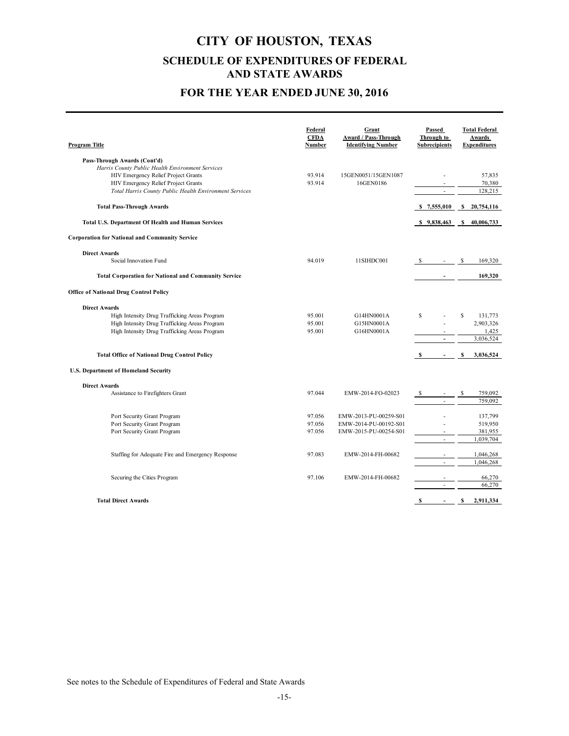### **FOR THE YEAR ENDED JUNE 30, 2016**

| Program Title                                               | Federal<br><b>CFDA</b><br>Number | Grant<br>Award / Pass-Through<br><b>Identifying Number</b> | Passed<br>Through to<br><b>Subrecipients</b> | <b>Total Federal</b><br>Awards<br><b>Expenditures</b> |
|-------------------------------------------------------------|----------------------------------|------------------------------------------------------------|----------------------------------------------|-------------------------------------------------------|
| Pass-Through Awards (Cont'd)                                |                                  |                                                            |                                              |                                                       |
| Harris County Public Health Environment Services            |                                  |                                                            |                                              |                                                       |
| HIV Emergency Relief Project Grants                         | 93.914                           | 15GEN0051/15GEN1087                                        |                                              | 57,835                                                |
| HIV Emergency Relief Project Grants                         | 93.914                           | 16GEN0186                                                  |                                              | 70,380                                                |
| Total Harris County Public Health Environment Services      |                                  |                                                            | ÷.                                           | 128,215                                               |
| <b>Total Pass-Through Awards</b>                            |                                  |                                                            |                                              | \$7,555,010 \$20,754,116                              |
| <b>Total U.S. Department Of Health and Human Services</b>   |                                  |                                                            |                                              | \$9,838,463 \$40,006,733                              |
| <b>Corporation for National and Community Service</b>       |                                  |                                                            |                                              |                                                       |
| <b>Direct Awards</b>                                        |                                  |                                                            |                                              |                                                       |
| Social Innovation Fund                                      | 94.019                           | 11SIHDC001                                                 | $-$ \$                                       | 169,320                                               |
| <b>Total Corporation for National and Community Service</b> |                                  |                                                            |                                              | 169,320                                               |
| <b>Office of National Drug Control Policy</b>               |                                  |                                                            |                                              |                                                       |
| <b>Direct Awards</b>                                        |                                  |                                                            |                                              |                                                       |
| High Intensity Drug Trafficking Areas Program               | 95.001                           | G14HN0001A                                                 | S                                            | $\mathbf S$<br>131,773                                |
| High Intensity Drug Trafficking Areas Program               | 95.001                           | G15HN0001A                                                 | ÷,                                           | 2,903,326                                             |
| High Intensity Drug Trafficking Areas Program               | 95.001                           | G16HN0001A                                                 |                                              | 1,425                                                 |
|                                                             |                                  |                                                            | $\blacksquare$                               | 3,036,524                                             |
| <b>Total Office of National Drug Control Policy</b>         |                                  |                                                            | s<br>$\overline{\phantom{a}}$                | s<br>3,036,524                                        |
| <b>U.S. Department of Homeland Security</b>                 |                                  |                                                            |                                              |                                                       |
| <b>Direct Awards</b>                                        |                                  |                                                            |                                              |                                                       |
| Assistance to Firefighters Grant                            | 97.044                           | EMW-2014-FO-02023                                          | $-$ \$                                       | 759,092                                               |
|                                                             |                                  |                                                            |                                              | 759,092                                               |
| Port Security Grant Program                                 | 97.056                           | EMW-2013-PU-00259-S01                                      |                                              | 137,799                                               |
| Port Security Grant Program                                 | 97.056                           | EMW-2014-PU-00192-S01                                      |                                              | 519,950                                               |
| Port Security Grant Program                                 | 97.056                           | EMW-2015-PU-00254-S01                                      |                                              | 381,955                                               |
|                                                             |                                  |                                                            |                                              | 1,039,704                                             |
| Staffing for Adequate Fire and Emergency Response           | 97.083                           | EMW-2014-FH-00682                                          |                                              | 1,046,268                                             |
|                                                             |                                  |                                                            | ÷,                                           | 1,046,268                                             |
| Securing the Cities Program                                 | 97.106                           | EMW-2014-FH-00682                                          |                                              | 66,270                                                |
|                                                             |                                  |                                                            |                                              | 66,270                                                |
|                                                             |                                  |                                                            |                                              |                                                       |
| <b>Total Direct Awards</b>                                  |                                  |                                                            | $\mathbf{s}$<br>$\blacksquare$               | \$<br>2,911,334                                       |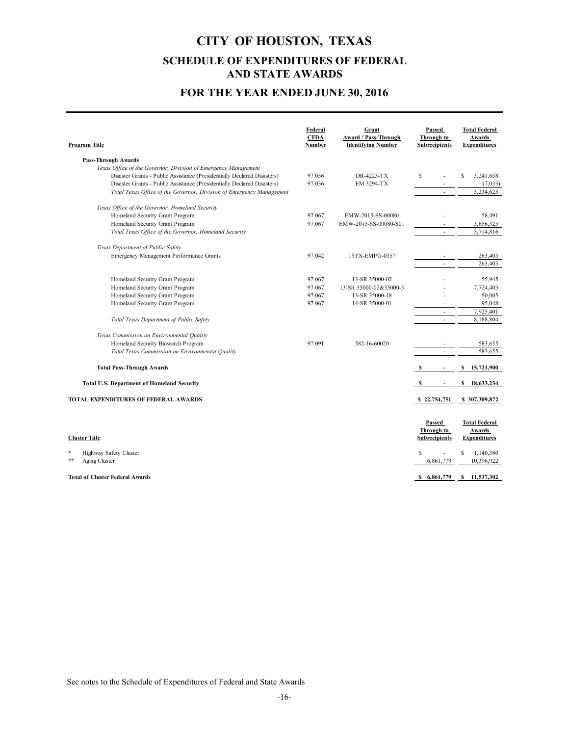### **FOR THE YEAR ENDED JUNE 30, 2016**

| Program Title                                                           | Federal<br><b>CFDA</b><br><b>Number</b> | Grant<br>Award / Pass-Through<br><b>Identifying Number</b> | Passed<br>Through to<br><b>Subrecipients</b> | <b>Total Federal</b><br>Awards<br><b>Expenditures</b> |
|-------------------------------------------------------------------------|-----------------------------------------|------------------------------------------------------------|----------------------------------------------|-------------------------------------------------------|
| <b>Pass-Through Awards</b>                                              |                                         |                                                            |                                              |                                                       |
| Texas Office of the Governor, Division of Emergency Management          |                                         |                                                            |                                              |                                                       |
| Disaster Grants - Public Assistance (Presidentially Declared Disasters) | 97.036                                  | DR-4223-TX                                                 | S                                            | 3,241,658<br>S                                        |
| Disaster Grants - Public Assistance (Presidentially Declared Disasters) | 97.036                                  | EM 3294-TX                                                 |                                              | (7,033)                                               |
| Total Texas Office of the Governor, Division of Emergency Management    |                                         |                                                            | ÷                                            | 3,234,625                                             |
| Texas Office of the Governor, Homeland Security                         |                                         |                                                            |                                              |                                                       |
| Homeland Security Grant Program                                         | 97.067                                  | EMW-2015-SS-00080                                          |                                              | 58,491                                                |
| Homeland Security Grant Program                                         | 97.067                                  | EMW-2015-SS-00080-S01                                      |                                              | 3,656,325                                             |
| Total Texas Office of the Governor, Homeland Security                   |                                         |                                                            |                                              | 3,714,816                                             |
| Texas Department of Public Safety                                       |                                         |                                                            |                                              |                                                       |
| Emergency Management Performance Grants                                 | 97.042                                  | 15TX-EMPG-0357                                             |                                              | 263,403                                               |
|                                                                         |                                         |                                                            | ÷.                                           | 263,403                                               |
| Homeland Security Grant Program                                         | 97.067                                  | 13-SR 35000-02                                             |                                              | 55,945                                                |
| Homeland Security Grant Program                                         | 97.067                                  | 13-SR 35000-02&35000-3                                     |                                              | 7,724,403                                             |
| Homeland Security Grant Program                                         | 97.067                                  | 13-SR 35000-18                                             |                                              | 50,005                                                |
| Homeland Security Grant Program                                         | 97.067                                  | 14-SR 35000-01                                             |                                              | 95,048                                                |
|                                                                         |                                         |                                                            |                                              | 7,925,401                                             |
| Total Texas Department of Public Safety                                 |                                         |                                                            | $\overline{\phantom{a}}$                     | 8,188,804                                             |
| Texas Commission on Environmental Quality                               |                                         |                                                            |                                              |                                                       |
| Homeland Security Biowatch Program                                      | 97.091                                  | 582-16-60020                                               |                                              | 583,655                                               |
| Total Texas Commission on Environmental Quality                         |                                         |                                                            |                                              | 583,655                                               |
| <b>Total Pass-Through Awards</b>                                        |                                         |                                                            |                                              | 15,721,900<br>S.                                      |
| <b>Total U.S. Department of Homeland Security</b>                       |                                         |                                                            |                                              | \$18,633,234                                          |
| <b>TOTAL EXPENDITURES OF FEDERAL AWARDS</b>                             |                                         |                                                            | \$22,754,751                                 | \$307,309,872                                         |
|                                                                         |                                         |                                                            |                                              |                                                       |
|                                                                         |                                         |                                                            | Passed                                       | <b>Total Federal</b>                                  |
|                                                                         |                                         |                                                            | Through to                                   | Awards                                                |
| <b>Cluster Title</b>                                                    |                                         |                                                            | <b>Subrecipients</b>                         | <b>Expenditures</b>                                   |
| *<br>Highway Safety Cluster<br>$* *$                                    |                                         |                                                            | S                                            | 1,140,380<br>S                                        |
| Aging Cluster                                                           |                                         |                                                            | 6,861,779                                    | 10,396,922                                            |

**Total of Cluster Federal Awards \$ 11,537,302 6,861,779 \$**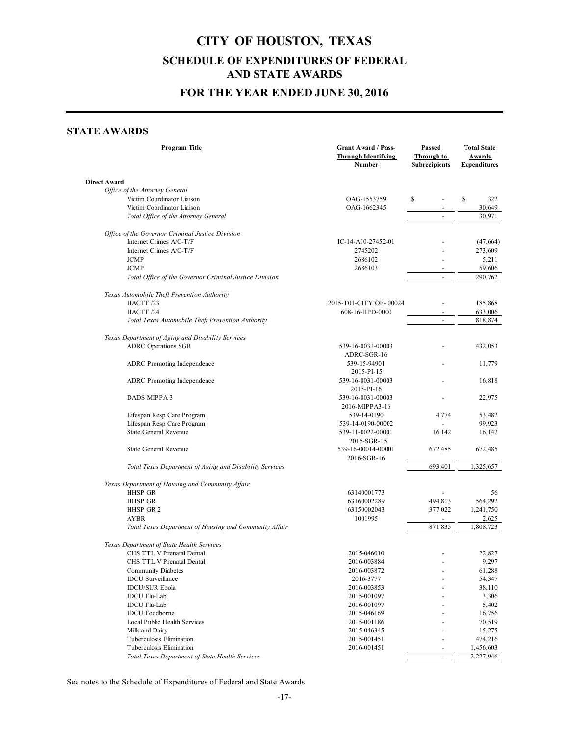### **FOR THE YEAR ENDED JUNE 30, 2016**

#### **STATE AWARDS**

| <b>Program Title</b>                                    | <b>Grant Award / Pass-</b><br><b>Through Identifying</b><br><b>Number</b> |                          | <b>Total State</b><br><b>Awards</b><br><b>Expenditures</b> |  |
|---------------------------------------------------------|---------------------------------------------------------------------------|--------------------------|------------------------------------------------------------|--|
| Direct Award                                            |                                                                           |                          |                                                            |  |
| Office of the Attorney General                          |                                                                           |                          |                                                            |  |
| Victim Coordinator Liaison                              | OAG-1553759                                                               | \$                       | \$<br>322                                                  |  |
| Victim Coordinator Liaison                              | OAG-1662345                                                               |                          | 30,649                                                     |  |
| Total Office of the Attorney General                    |                                                                           | $\overline{\phantom{a}}$ | 30,971                                                     |  |
| Office of the Governor Criminal Justice Division        |                                                                           |                          |                                                            |  |
| Internet Crimes A/C-T/F                                 | IC-14-A10-27452-01                                                        |                          | (47,664)                                                   |  |
| Internet Crimes A/C-T/F                                 | 2745202                                                                   |                          | 273,609                                                    |  |
| <b>JCMP</b>                                             | 2686102                                                                   |                          | 5,211                                                      |  |
| <b>JCMP</b>                                             | 2686103                                                                   |                          | 59,606                                                     |  |
| Total Office of the Governor Criminal Justice Division  |                                                                           | $\blacksquare$           | 290,762                                                    |  |
| Texas Automobile Theft Prevention Authority             |                                                                           |                          |                                                            |  |
| HACTF /23                                               | 2015-T01-CITY OF-00024                                                    |                          | 185,868                                                    |  |
| HACTF /24                                               | 608-16-HPD-0000                                                           |                          | 633,006                                                    |  |
| Total Texas Automobile Theft Prevention Authority       |                                                                           |                          | 818,874                                                    |  |
| Texas Department of Aging and Disability Services       |                                                                           |                          |                                                            |  |
|                                                         |                                                                           |                          |                                                            |  |
| <b>ADRC</b> Operations SGR                              | 539-16-0031-00003                                                         |                          | 432,053                                                    |  |
|                                                         | ADRC-SGR-16                                                               |                          |                                                            |  |
| ADRC Promoting Independence                             | 539-15-94901                                                              |                          | 11,779                                                     |  |
|                                                         | 2015-PI-15                                                                |                          |                                                            |  |
| <b>ADRC</b> Promoting Independence                      | 539-16-0031-00003                                                         |                          | 16,818                                                     |  |
|                                                         | 2015-PI-16                                                                |                          |                                                            |  |
| DADS MIPPA 3                                            | 539-16-0031-00003                                                         |                          | 22,975                                                     |  |
|                                                         | 2016-MIPPA3-16                                                            |                          |                                                            |  |
| Lifespan Resp Care Program                              | 539-14-0190                                                               | 4,774                    | 53,482                                                     |  |
| Lifespan Resp Care Program                              | 539-14-0190-00002                                                         |                          | 99,923                                                     |  |
| <b>State General Revenue</b>                            | 539-11-0022-00001                                                         | 16,142                   | 16,142                                                     |  |
|                                                         | 2015-SGR-15                                                               |                          |                                                            |  |
| <b>State General Revenue</b>                            | 539-16-00014-00001                                                        | 672,485                  | 672,485                                                    |  |
|                                                         | 2016-SGR-16                                                               |                          |                                                            |  |
| Total Texas Department of Aging and Disability Services |                                                                           | 693,401                  | 1,325,657                                                  |  |
| Texas Department of Housing and Community Affair        |                                                                           |                          |                                                            |  |
| <b>HHSP GR</b>                                          | 63140001773                                                               |                          | 56                                                         |  |
| HHSP GR                                                 | 63160002289                                                               | 494,813                  | 564,292                                                    |  |
| HHSP GR 2                                               | 63150002043                                                               | 377,022                  | 1,241,750                                                  |  |
| <b>AYBR</b>                                             | 1001995                                                                   |                          | 2,625                                                      |  |
| Total Texas Department of Housing and Community Affair  |                                                                           | 871,835                  | 1,808,723                                                  |  |
| Texas Department of State Health Services               |                                                                           |                          |                                                            |  |
| CHS TTL V Prenatal Dental                               | 2015-046010                                                               |                          | 22,827                                                     |  |
| CHS TTL V Prenatal Dental                               | 2016-003884                                                               |                          | 9,297                                                      |  |
| <b>Community Diabetes</b>                               | 2016-003872                                                               |                          | 61,288                                                     |  |
| <b>IDCU</b> Surveillance                                | 2016-3777                                                                 |                          | 54,347                                                     |  |
| <b>IDCU/SUR Ebola</b>                                   | 2016-003853                                                               |                          | 38,110                                                     |  |
| <b>IDCU</b> Flu-Lab                                     | 2015-001097                                                               |                          | 3,306                                                      |  |
| <b>IDCU</b> Flu-Lab                                     | 2016-001097                                                               |                          | 5,402                                                      |  |
| <b>IDCU</b> Foodborne                                   | 2015-046169                                                               |                          | 16,756                                                     |  |
| Local Public Health Services                            | 2015-001186                                                               |                          | 70,519                                                     |  |
| Milk and Dairy                                          | 2015-046345                                                               |                          | 15,275                                                     |  |
| Tuberculosis Elimination                                | 2015-001451                                                               |                          | 474,216                                                    |  |
| Tuberculosis Elimination                                | 2016-001451                                                               | $\overline{\phantom{a}}$ | 1,456,603                                                  |  |
| Total Texas Department of State Health Services         |                                                                           | $\blacksquare$           | 2,227,946                                                  |  |
|                                                         |                                                                           |                          |                                                            |  |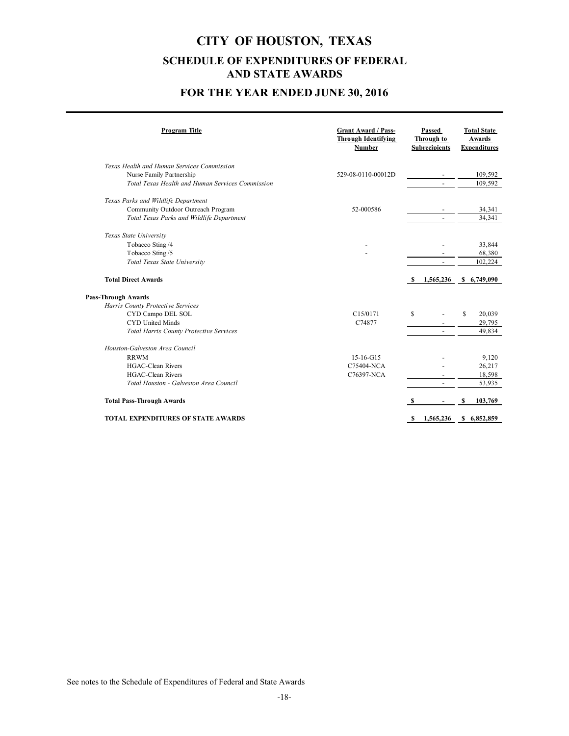### **FOR THE YEAR ENDED JUNE 30, 2016**

| Program Title                                    | <b>Grant Award / Pass-</b><br><b>Through Identifying</b><br><b>Number</b> |   | Passed<br>Through to<br><b>Subrecipients</b> |    | <b>Total State</b><br>Awards<br><b>Expenditures</b> |
|--------------------------------------------------|---------------------------------------------------------------------------|---|----------------------------------------------|----|-----------------------------------------------------|
| Texas Health and Human Services Commission       |                                                                           |   |                                              |    |                                                     |
| Nurse Family Partnership                         | 529-08-0110-00012D                                                        |   |                                              |    | 109,592                                             |
| Total Texas Health and Human Services Commission |                                                                           |   |                                              |    | 109,592                                             |
| Texas Parks and Wildlife Department              |                                                                           |   |                                              |    |                                                     |
| Community Outdoor Outreach Program               | 52-000586                                                                 |   |                                              |    | 34,341                                              |
| Total Texas Parks and Wildlife Department        |                                                                           |   |                                              |    | 34,341                                              |
| Texas State University                           |                                                                           |   |                                              |    |                                                     |
| Tobacco Sting /4                                 |                                                                           |   |                                              |    | 33,844                                              |
| Tobacco Sting /5                                 |                                                                           |   |                                              |    | 68,380                                              |
| Total Texas State University                     |                                                                           |   | $\overline{\phantom{a}}$                     |    | 102,224                                             |
| <b>Total Direct Awards</b>                       |                                                                           |   | 1,565,236                                    |    | \$6,749,090                                         |
| <b>Pass-Through Awards</b>                       |                                                                           |   |                                              |    |                                                     |
| Harris County Protective Services                |                                                                           |   |                                              |    |                                                     |
| CYD Campo DEL SOL                                | C15/0171                                                                  | S |                                              | \$ | 20,039                                              |
| <b>CYD United Minds</b>                          | C74877                                                                    |   |                                              |    | 29,795                                              |
| Total Harris County Protective Services          |                                                                           |   | $\blacksquare$                               |    | 49,834                                              |
| Houston-Galveston Area Council                   |                                                                           |   |                                              |    |                                                     |
| <b>RRWM</b>                                      | 15-16-G15                                                                 |   |                                              |    | 9,120                                               |
| <b>HGAC-Clean Rivers</b>                         | C75404-NCA                                                                |   |                                              |    | 26,217                                              |
| <b>HGAC-Clean Rivers</b>                         | C76397-NCA                                                                |   |                                              |    | 18,598                                              |
| Total Houston - Galveston Area Council           |                                                                           |   |                                              |    | 53,935                                              |
| <b>Total Pass-Through Awards</b>                 |                                                                           |   |                                              | S  | 103,769                                             |
| <b>TOTAL EXPENDITURES OF STATE AWARDS</b>        |                                                                           |   | 1,565,236                                    |    | \$6,852,859                                         |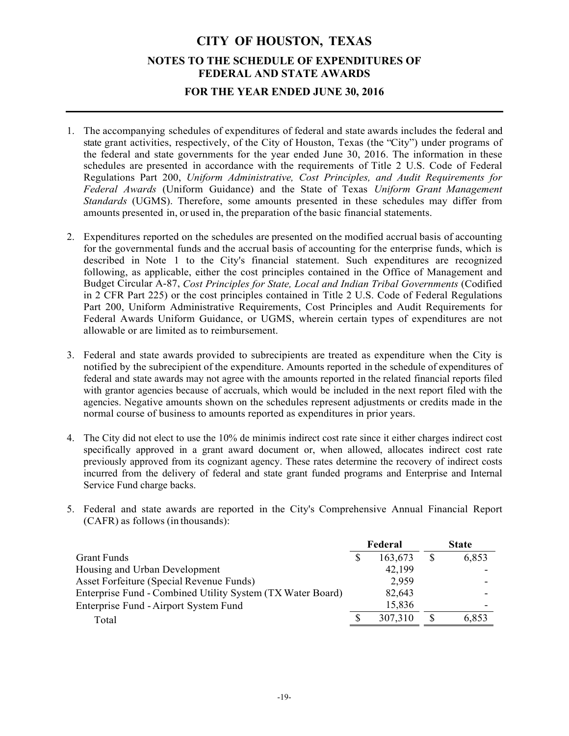## **CITY OF HOUSTON, TEXAS NOTES TO THE SCHEDULE OF EXPENDITURES OF FEDERAL AND STATE AWARDS FOR THE YEAR ENDED JUNE 30, 2016**

- 1. The accompanying schedules of expenditures of federal and state awards includes the federal and state grant activities, respectively, of the City of Houston, Texas (the "City") under programs of the federal and state governments for the year ended June 30, 2016. The information in these schedules are presented in accordance with the requirements of Title 2 U.S. Code of Federal Regulations Part 200, *Uniform Administrative, Cost Principles, and Audit Requirements for Federal Awards* (Uniform Guidance) and the State of Texas *Uniform Grant Management Standards* (UGMS). Therefore, some amounts presented in these schedules may differ from amounts presented in, or used in, the preparation of the basic financial statements.
- 2. Expenditures reported on the schedules are presented on the modified accrual basis of accounting for the governmental funds and the accrual basis of accounting for the enterprise funds, which is described in Note 1 to the City's financial statement. Such expenditures are recognized following, as applicable, either the cost principles contained in the Office of Management and Budget Circular A-87, *Cost Principles for State, Local and Indian Tribal Governments* (Codified in 2 CFR Part 225) or the cost principles contained in Title 2 U.S. Code of Federal Regulations Part 200, Uniform Administrative Requirements, Cost Principles and Audit Requirements for Federal Awards Uniform Guidance, or UGMS, wherein certain types of expenditures are not allowable or are limited as to reimbursement.
- 3. Federal and state awards provided to subrecipients are treated as expenditure when the City is notified by the subrecipient of the expenditure. Amounts reported in the schedule of expenditures of federal and state awards may not agree with the amounts reported in the related financial reports filed with grantor agencies because of accruals, which would be included in the next report filed with the agencies. Negative amounts shown on the schedules represent adjustments or credits made in the normal course of business to amounts reported as expenditures in prior years.
- 4. The City did not elect to use the 10% de minimis indirect cost rate since it either charges indirect cost specifically approved in a grant award document or, when allowed, allocates indirect cost rate previously approved from its cognizant agency. These rates determine the recovery of indirect costs incurred from the delivery of federal and state grant funded programs and Enterprise and Internal Service Fund charge backs.
- 5. Federal and state awards are reported in the City's Comprehensive Annual Financial Report (CAFR) as follows (in thousands):

|                                                            |  | Federal |    | <b>State</b> |  |
|------------------------------------------------------------|--|---------|----|--------------|--|
| <b>Grant Funds</b>                                         |  | 163,673 | \$ | 6,853        |  |
| Housing and Urban Development                              |  | 42,199  |    |              |  |
| Asset Forfeiture (Special Revenue Funds)                   |  | 2,959   |    |              |  |
| Enterprise Fund - Combined Utility System (TX Water Board) |  | 82,643  |    |              |  |
| Enterprise Fund - Airport System Fund                      |  | 15,836  |    |              |  |
| Total                                                      |  | 307,310 |    | 6,853        |  |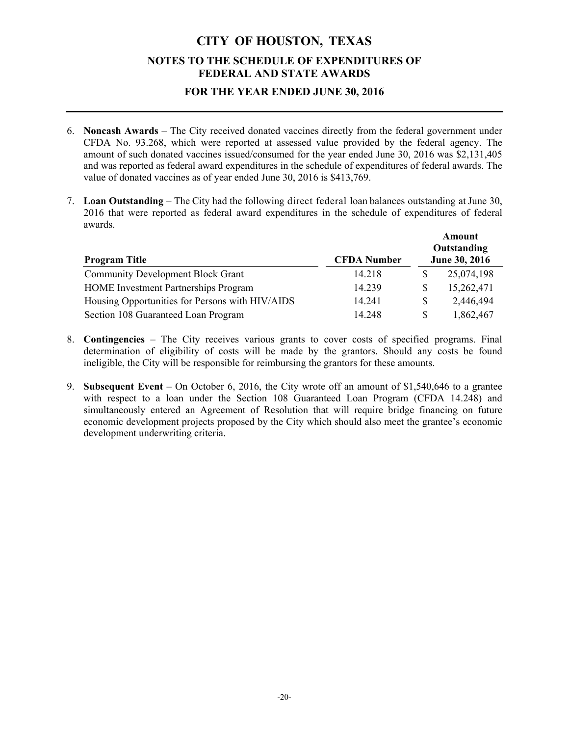### **FOR THE YEAR ENDED JUNE 30, 2016**

- 6. **Noncash Awards** The City received donated vaccines directly from the federal government under CFDA No. 93.268, which were reported at assessed value provided by the federal agency. The amount of such donated vaccines issued/consumed for the year ended June 30, 2016 was \$2,131,405 and was reported as federal award expenditures in the schedule of expenditures of federal awards. The value of donated vaccines as of year ended June 30, 2016 is \$413,769.
- 7. **Loan Outstanding** The City had the following direct federal loan balances outstanding at June 30, 2016 that were reported as federal award expenditures in the schedule of expenditures of federal awards.

| <b>Program Title</b>                            | <b>CFDA</b> Number | Amount<br>Outstanding<br>June 30, 2016 |
|-------------------------------------------------|--------------------|----------------------------------------|
| <b>Community Development Block Grant</b>        | 14.218             | 25,074,198                             |
| <b>HOME</b> Investment Partnerships Program     | 14.239             | 15,262,471                             |
| Housing Opportunities for Persons with HIV/AIDS | 14.241             | 2,446,494                              |
| Section 108 Guaranteed Loan Program             | 14.248             | 1,862,467                              |

- 8. **Contingencies**  The City receives various grants to cover costs of specified programs. Final determination of eligibility of costs will be made by the grantors. Should any costs be found ineligible, the City will be responsible for reimbursing the grantors for these amounts.
- 9. **Subsequent Event** On October 6, 2016, the City wrote off an amount of \$1,540,646 to a grantee with respect to a loan under the Section 108 Guaranteed Loan Program (CFDA 14.248) and simultaneously entered an Agreement of Resolution that will require bridge financing on future economic development projects proposed by the City which should also meet the grantee's economic development underwriting criteria.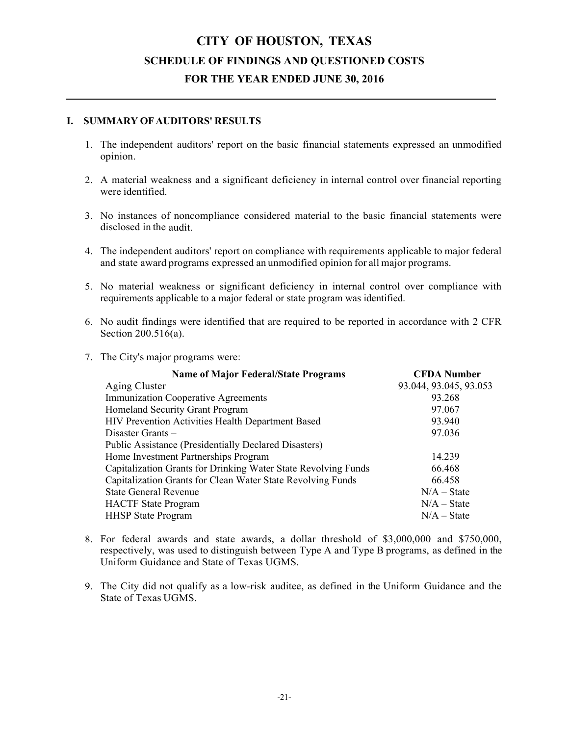#### **I. SUMMARY OF AUDITORS' RESULTS**

- 1. The independent auditors' report on the basic financial statements expressed an unmodified opinion.
- 2. A material weakness and a significant deficiency in internal control over financial reporting were identified.
- 3. No instances of noncompliance considered material to the basic financial statements were disclosed in the audit.
- 4. The independent auditors' report on compliance with requirements applicable to major federal and state award programs expressed an unmodified opinion for all major programs.
- 5. No material weakness or significant deficiency in internal control over compliance with requirements applicable to a major federal or state program was identified.
- 6. No audit findings were identified that are required to be reported in accordance with 2 CFR Section 200.516(a).
- 7. The City's major programs were:

| <b>Name of Major Federal/State Programs</b>                    | <b>CFDA Number</b>     |
|----------------------------------------------------------------|------------------------|
| Aging Cluster                                                  | 93.044, 93.045, 93.053 |
| <b>Immunization Cooperative Agreements</b>                     | 93.268                 |
| Homeland Security Grant Program                                | 97.067                 |
| HIV Prevention Activities Health Department Based              | 93.940                 |
| Disaster Grants $-$                                            | 97.036                 |
| <b>Public Assistance (Presidentially Declared Disasters)</b>   |                        |
| Home Investment Partnerships Program                           | 14.239                 |
| Capitalization Grants for Drinking Water State Revolving Funds | 66.468                 |
| Capitalization Grants for Clean Water State Revolving Funds    | 66.458                 |
| <b>State General Revenue</b>                                   | $N/A - State$          |
| <b>HACTF</b> State Program                                     | $N/A - State$          |
| <b>HHSP</b> State Program                                      | $N/A - State$          |

- 8. For federal awards and state awards, a dollar threshold of \$3,000,000 and \$750,000, respectively, was used to distinguish between Type A and Type B programs, as defined in the Uniform Guidance and State of Texas UGMS.
- 9. The City did not qualify as a low-risk auditee, as defined in the Uniform Guidance and the State of Texas UGMS.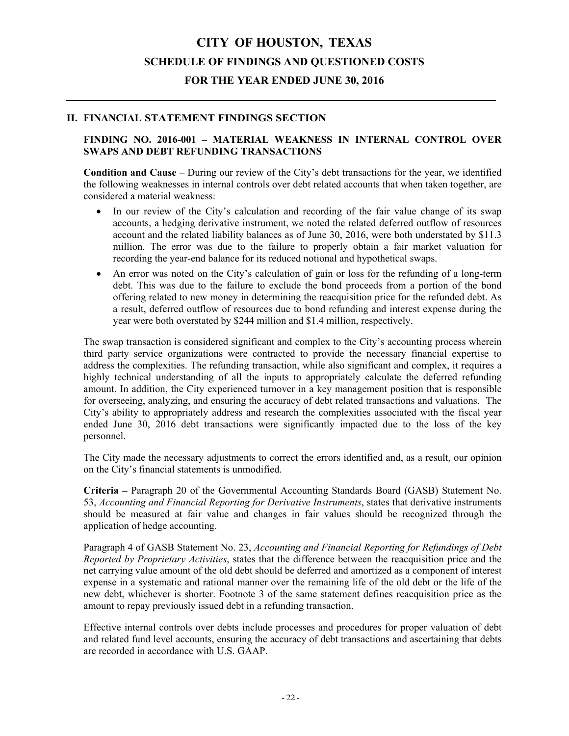#### **II. FINANCIAL STATEMENT FINDINGS SECTION**

#### **FINDING NO. 2016-001 – MATERIAL WEAKNESS IN INTERNAL CONTROL OVER SWAPS AND DEBT REFUNDING TRANSACTIONS**

**Condition and Cause** – During our review of the City's debt transactions for the year, we identified the following weaknesses in internal controls over debt related accounts that when taken together, are considered a material weakness:

- In our review of the City's calculation and recording of the fair value change of its swap accounts, a hedging derivative instrument, we noted the related deferred outflow of resources account and the related liability balances as of June 30, 2016, were both understated by \$11.3 million. The error was due to the failure to properly obtain a fair market valuation for recording the year-end balance for its reduced notional and hypothetical swaps.
- An error was noted on the City's calculation of gain or loss for the refunding of a long-term debt. This was due to the failure to exclude the bond proceeds from a portion of the bond offering related to new money in determining the reacquisition price for the refunded debt. As a result, deferred outflow of resources due to bond refunding and interest expense during the year were both overstated by \$244 million and \$1.4 million, respectively.

The swap transaction is considered significant and complex to the City's accounting process wherein third party service organizations were contracted to provide the necessary financial expertise to address the complexities. The refunding transaction, while also significant and complex, it requires a highly technical understanding of all the inputs to appropriately calculate the deferred refunding amount. In addition, the City experienced turnover in a key management position that is responsible for overseeing, analyzing, and ensuring the accuracy of debt related transactions and valuations. The City's ability to appropriately address and research the complexities associated with the fiscal year ended June 30, 2016 debt transactions were significantly impacted due to the loss of the key personnel.

The City made the necessary adjustments to correct the errors identified and, as a result, our opinion on the City's financial statements is unmodified.

**Criteria –** Paragraph 20 of the Governmental Accounting Standards Board (GASB) Statement No. 53, *Accounting and Financial Reporting for Derivative Instruments*, states that derivative instruments should be measured at fair value and changes in fair values should be recognized through the application of hedge accounting.

Paragraph 4 of GASB Statement No. 23, *Accounting and Financial Reporting for Refundings of Debt Reported by Proprietary Activities*, states that the difference between the reacquisition price and the net carrying value amount of the old debt should be deferred and amortized as a component of interest expense in a systematic and rational manner over the remaining life of the old debt or the life of the new debt, whichever is shorter. Footnote 3 of the same statement defines reacquisition price as the amount to repay previously issued debt in a refunding transaction.

Effective internal controls over debts include processes and procedures for proper valuation of debt and related fund level accounts, ensuring the accuracy of debt transactions and ascertaining that debts are recorded in accordance with U.S. GAAP.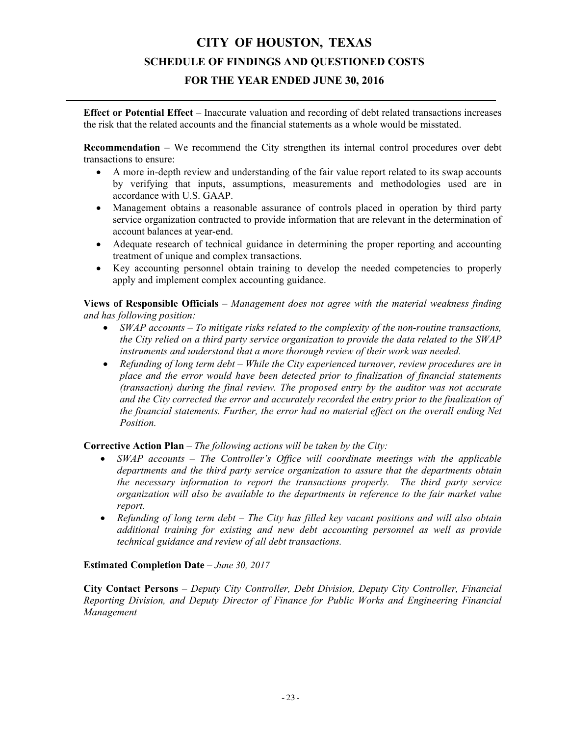# **CITY OF HOUSTON, TEXAS SCHEDULE OF FINDINGS AND QUESTIONED COSTS**

### **FOR THE YEAR ENDED JUNE 30, 2016**

**Effect or Potential Effect** – Inaccurate valuation and recording of debt related transactions increases the risk that the related accounts and the financial statements as a whole would be misstated.

**Recommendation** – We recommend the City strengthen its internal control procedures over debt transactions to ensure:

- A more in-depth review and understanding of the fair value report related to its swap accounts by verifying that inputs, assumptions, measurements and methodologies used are in accordance with U.S. GAAP.
- Management obtains a reasonable assurance of controls placed in operation by third party service organization contracted to provide information that are relevant in the determination of account balances at year-end.
- Adequate research of technical guidance in determining the proper reporting and accounting treatment of unique and complex transactions.
- Key accounting personnel obtain training to develop the needed competencies to properly apply and implement complex accounting guidance.

**Views of Responsible Officials** – *Management does not agree with the material weakness finding and has following position:* 

- *SWAP accounts To mitigate risks related to the complexity of the non-routine transactions, the City relied on a third party service organization to provide the data related to the SWAP instruments and understand that a more thorough review of their work was needed.*
- *Refunding of long term debt While the City experienced turnover, review procedures are in place and the error would have been detected prior to finalization of financial statements (transaction) during the final review. The proposed entry by the auditor was not accurate and the City corrected the error and accurately recorded the entry prior to the finalization of the financial statements. Further, the error had no material effect on the overall ending Net Position.*

**Corrective Action Plan** – *The following actions will be taken by the City:* 

- *SWAP accounts The Controller's Office will coordinate meetings with the applicable departments and the third party service organization to assure that the departments obtain the necessary information to report the transactions properly. The third party service organization will also be available to the departments in reference to the fair market value report.*
- *Refunding of long term debt The City has filled key vacant positions and will also obtain additional training for existing and new debt accounting personnel as well as provide technical guidance and review of all debt transactions.*

#### **Estimated Completion Date** – *June 30, 2017*

**City Contact Persons** – *Deputy City Controller, Debt Division, Deputy City Controller, Financial Reporting Division, and Deputy Director of Finance for Public Works and Engineering Financial Management*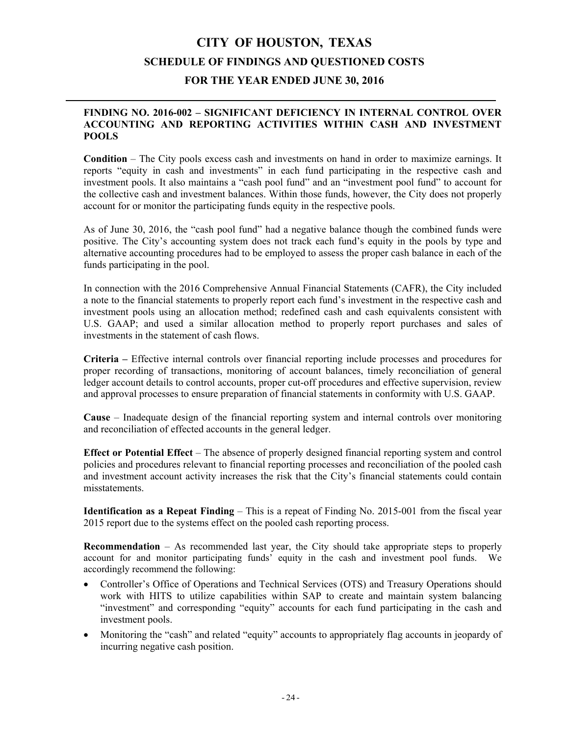#### **FINDING NO. 2016-002 – SIGNIFICANT DEFICIENCY IN INTERNAL CONTROL OVER ACCOUNTING AND REPORTING ACTIVITIES WITHIN CASH AND INVESTMENT POOLS**

**Condition** – The City pools excess cash and investments on hand in order to maximize earnings. It reports "equity in cash and investments" in each fund participating in the respective cash and investment pools. It also maintains a "cash pool fund" and an "investment pool fund" to account for the collective cash and investment balances. Within those funds, however, the City does not properly account for or monitor the participating funds equity in the respective pools.

As of June 30, 2016, the "cash pool fund" had a negative balance though the combined funds were positive. The City's accounting system does not track each fund's equity in the pools by type and alternative accounting procedures had to be employed to assess the proper cash balance in each of the funds participating in the pool.

In connection with the 2016 Comprehensive Annual Financial Statements (CAFR), the City included a note to the financial statements to properly report each fund's investment in the respective cash and investment pools using an allocation method; redefined cash and cash equivalents consistent with U.S. GAAP; and used a similar allocation method to properly report purchases and sales of investments in the statement of cash flows.

**Criteria –** Effective internal controls over financial reporting include processes and procedures for proper recording of transactions, monitoring of account balances, timely reconciliation of general ledger account details to control accounts, proper cut-off procedures and effective supervision, review and approval processes to ensure preparation of financial statements in conformity with U.S. GAAP.

**Cause** – Inadequate design of the financial reporting system and internal controls over monitoring and reconciliation of effected accounts in the general ledger.

**Effect or Potential Effect** – The absence of properly designed financial reporting system and control policies and procedures relevant to financial reporting processes and reconciliation of the pooled cash and investment account activity increases the risk that the City's financial statements could contain misstatements.

**Identification as a Repeat Finding – This is a repeat of Finding No. 2015-001 from the fiscal year** 2015 report due to the systems effect on the pooled cash reporting process.

**Recommendation** – As recommended last year, the City should take appropriate steps to properly account for and monitor participating funds' equity in the cash and investment pool funds. We accordingly recommend the following:

- Controller's Office of Operations and Technical Services (OTS) and Treasury Operations should work with HITS to utilize capabilities within SAP to create and maintain system balancing "investment" and corresponding "equity" accounts for each fund participating in the cash and investment pools.
- Monitoring the "cash" and related "equity" accounts to appropriately flag accounts in jeopardy of incurring negative cash position.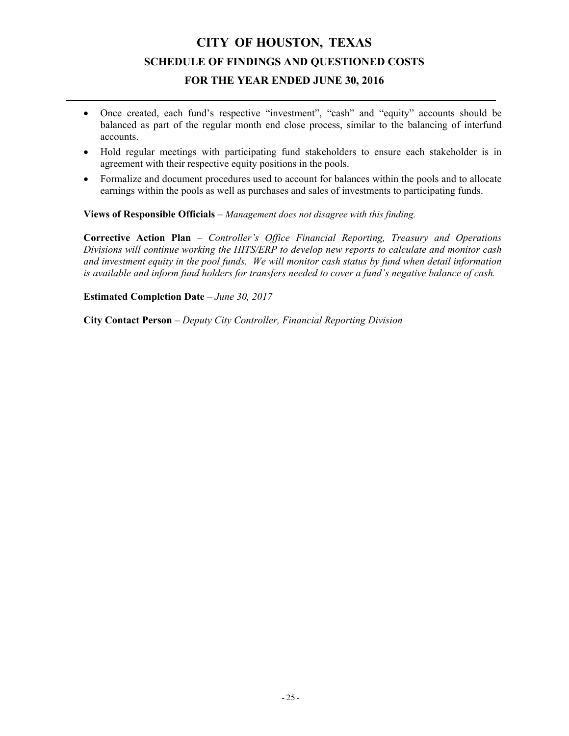- Once created, each fund's respective "investment", "cash" and "equity" accounts should be balanced as part of the regular month end close process, similar to the balancing of interfund accounts.
- Hold regular meetings with participating fund stakeholders to ensure each stakeholder is in agreement with their respective equity positions in the pools.
- Formalize and document procedures used to account for balances within the pools and to allocate earnings within the pools as well as purchases and sales of investments to participating funds.

**Views of Responsible Officials** – *Management does not disagree with this finding.*

**Corrective Action Plan** – *Controller's Office Financial Reporting, Treasury and Operations Divisions will continue working the HITS/ERP to develop new reports to calculate and monitor cash and investment equity in the pool funds. We will monitor cash status by fund when detail information is available and inform fund holders for transfers needed to cover a fund's negative balance of cash.*

**Estimated Completion Date** – *June 30, 2017*

**City Contact Person** – *Deputy City Controller, Financial Reporting Division*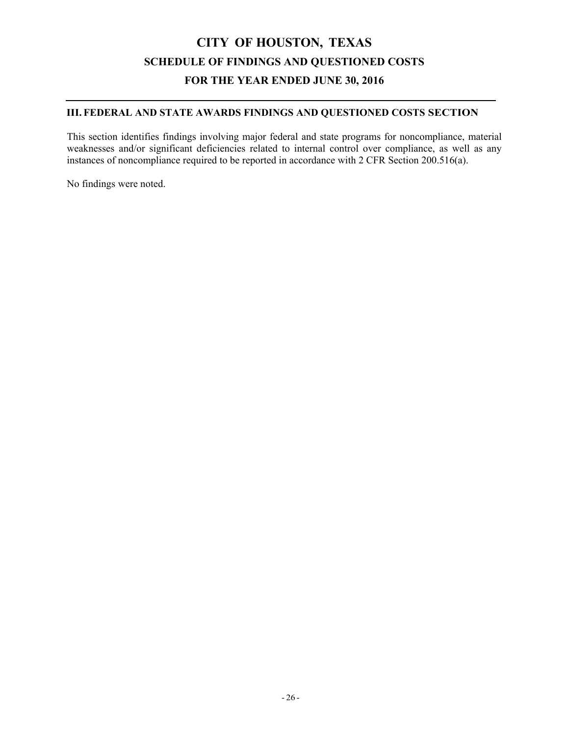### **III. FEDERAL AND STATE AWARDS FINDINGS AND QUESTIONED COSTS SECTION**

This section identifies findings involving major federal and state programs for noncompliance, material weaknesses and/or significant deficiencies related to internal control over compliance, as well as any instances of noncompliance required to be reported in accordance with 2 CFR Section 200.516(a).

No findings were noted.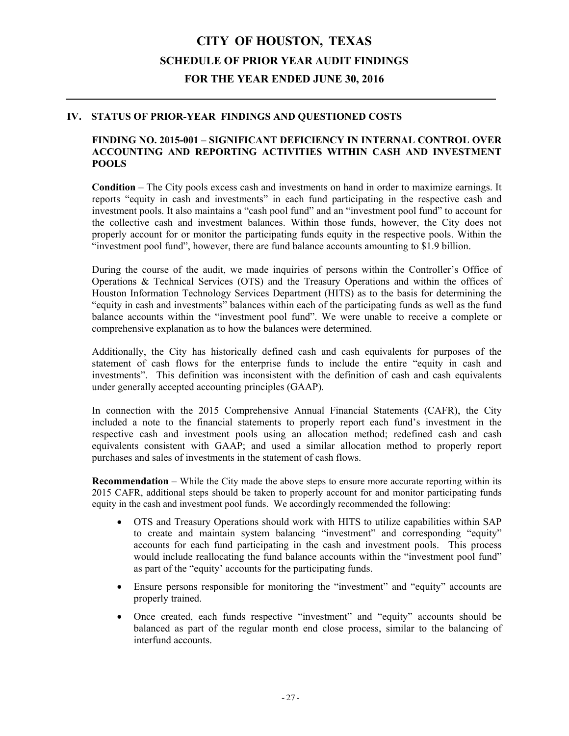## **CITY OF HOUSTON, TEXAS SCHEDULE OF PRIOR YEAR AUDIT FINDINGS FOR THE YEAR ENDED JUNE 30, 2016**

#### **IV. STATUS OF PRIOR-YEAR FINDINGS AND QUESTIONED COSTS**

#### **FINDING NO. 2015-001 – SIGNIFICANT DEFICIENCY IN INTERNAL CONTROL OVER ACCOUNTING AND REPORTING ACTIVITIES WITHIN CASH AND INVESTMENT POOLS**

**Condition** – The City pools excess cash and investments on hand in order to maximize earnings. It reports "equity in cash and investments" in each fund participating in the respective cash and investment pools. It also maintains a "cash pool fund" and an "investment pool fund" to account for the collective cash and investment balances. Within those funds, however, the City does not properly account for or monitor the participating funds equity in the respective pools. Within the "investment pool fund", however, there are fund balance accounts amounting to \$1.9 billion.

During the course of the audit, we made inquiries of persons within the Controller's Office of Operations & Technical Services (OTS) and the Treasury Operations and within the offices of Houston Information Technology Services Department (HITS) as to the basis for determining the "equity in cash and investments" balances within each of the participating funds as well as the fund balance accounts within the "investment pool fund". We were unable to receive a complete or comprehensive explanation as to how the balances were determined.

Additionally, the City has historically defined cash and cash equivalents for purposes of the statement of cash flows for the enterprise funds to include the entire "equity in cash and investments". This definition was inconsistent with the definition of cash and cash equivalents under generally accepted accounting principles (GAAP).

In connection with the 2015 Comprehensive Annual Financial Statements (CAFR), the City included a note to the financial statements to properly report each fund's investment in the respective cash and investment pools using an allocation method; redefined cash and cash equivalents consistent with GAAP; and used a similar allocation method to properly report purchases and sales of investments in the statement of cash flows.

**Recommendation** – While the City made the above steps to ensure more accurate reporting within its 2015 CAFR, additional steps should be taken to properly account for and monitor participating funds equity in the cash and investment pool funds. We accordingly recommended the following:

- OTS and Treasury Operations should work with HITS to utilize capabilities within SAP to create and maintain system balancing "investment" and corresponding "equity" accounts for each fund participating in the cash and investment pools. This process would include reallocating the fund balance accounts within the "investment pool fund" as part of the "equity' accounts for the participating funds.
- Ensure persons responsible for monitoring the "investment" and "equity" accounts are properly trained.
- Once created, each funds respective "investment" and "equity" accounts should be balanced as part of the regular month end close process, similar to the balancing of interfund accounts.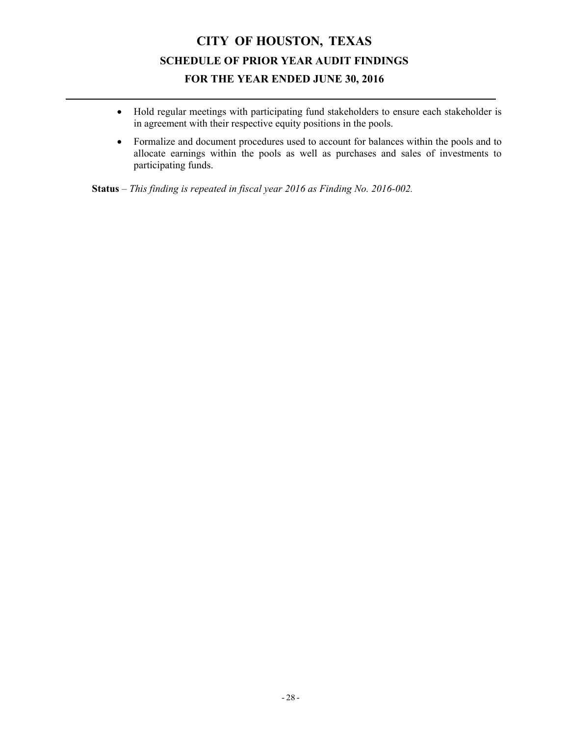## **CITY OF HOUSTON, TEXAS SCHEDULE OF PRIOR YEAR AUDIT FINDINGS FOR THE YEAR ENDED JUNE 30, 2016**

- Hold regular meetings with participating fund stakeholders to ensure each stakeholder is in agreement with their respective equity positions in the pools.
- Formalize and document procedures used to account for balances within the pools and to allocate earnings within the pools as well as purchases and sales of investments to participating funds.

**Status** – *This finding is repeated in fiscal year 2016 as Finding No. 2016-002.*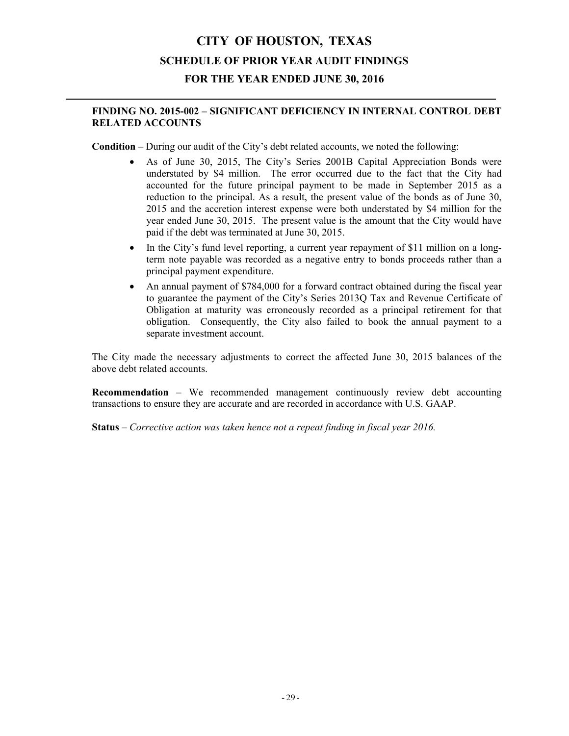## **CITY OF HOUSTON, TEXAS SCHEDULE OF PRIOR YEAR AUDIT FINDINGS FOR THE YEAR ENDED JUNE 30, 2016**

### **FINDING NO. 2015-002 – SIGNIFICANT DEFICIENCY IN INTERNAL CONTROL DEBT RELATED ACCOUNTS**

**Condition** – During our audit of the City's debt related accounts, we noted the following:

- As of June 30, 2015, The City's Series 2001B Capital Appreciation Bonds were understated by \$4 million. The error occurred due to the fact that the City had accounted for the future principal payment to be made in September 2015 as a reduction to the principal. As a result, the present value of the bonds as of June 30, 2015 and the accretion interest expense were both understated by \$4 million for the year ended June 30, 2015. The present value is the amount that the City would have paid if the debt was terminated at June 30, 2015.
- In the City's fund level reporting, a current year repayment of \$11 million on a longterm note payable was recorded as a negative entry to bonds proceeds rather than a principal payment expenditure.
- An annual payment of \$784,000 for a forward contract obtained during the fiscal year to guarantee the payment of the City's Series 2013Q Tax and Revenue Certificate of Obligation at maturity was erroneously recorded as a principal retirement for that obligation. Consequently, the City also failed to book the annual payment to a separate investment account.

The City made the necessary adjustments to correct the affected June 30, 2015 balances of the above debt related accounts.

**Recommendation** – We recommended management continuously review debt accounting transactions to ensure they are accurate and are recorded in accordance with U.S. GAAP.

**Status** – *Corrective action was taken hence not a repeat finding in fiscal year 2016.*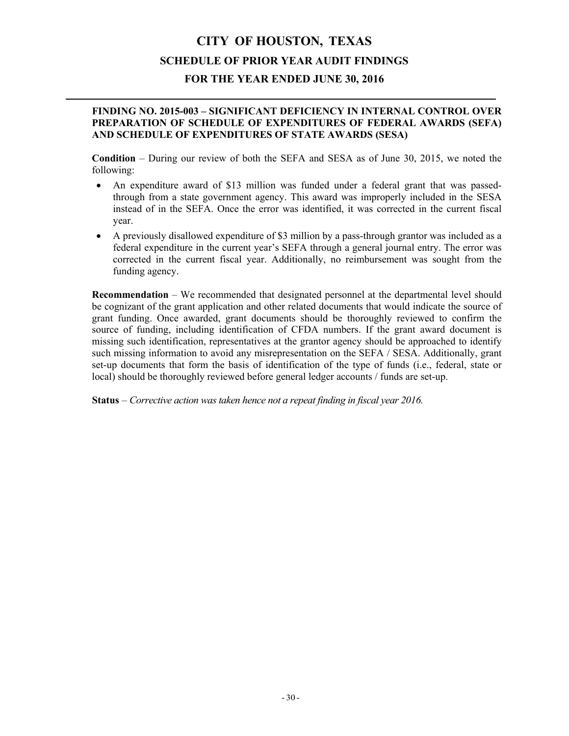# **CITY OF HOUSTON, TEXAS SCHEDULE OF PRIOR YEAR AUDIT FINDINGS**

### **FOR THE YEAR ENDED JUNE 30, 2016**

#### **FINDING NO. 2015-003 – SIGNIFICANT DEFICIENCY IN INTERNAL CONTROL OVER PREPARATION OF SCHEDULE OF EXPENDITURES OF FEDERAL AWARDS (SEFA) AND SCHEDULE OF EXPENDITURES OF STATE AWARDS (SESA)**

**Condition** – During our review of both the SEFA and SESA as of June 30, 2015, we noted the following:

- An expenditure award of \$13 million was funded under a federal grant that was passedthrough from a state government agency. This award was improperly included in the SESA instead of in the SEFA. Once the error was identified, it was corrected in the current fiscal year.
- A previously disallowed expenditure of \$3 million by a pass-through grantor was included as a federal expenditure in the current year's SEFA through a general journal entry. The error was corrected in the current fiscal year. Additionally, no reimbursement was sought from the funding agency.

**Recommendation** – We recommended that designated personnel at the departmental level should be cognizant of the grant application and other related documents that would indicate the source of grant funding. Once awarded, grant documents should be thoroughly reviewed to confirm the source of funding, including identification of CFDA numbers. If the grant award document is missing such identification, representatives at the grantor agency should be approached to identify such missing information to avoid any misrepresentation on the SEFA / SESA. Additionally, grant set-up documents that form the basis of identification of the type of funds (i.e., federal, state or local) should be thoroughly reviewed before general ledger accounts / funds are set-up.

**Status** – *Corrective action was taken hence not a repeat finding in fiscal year 2016.*